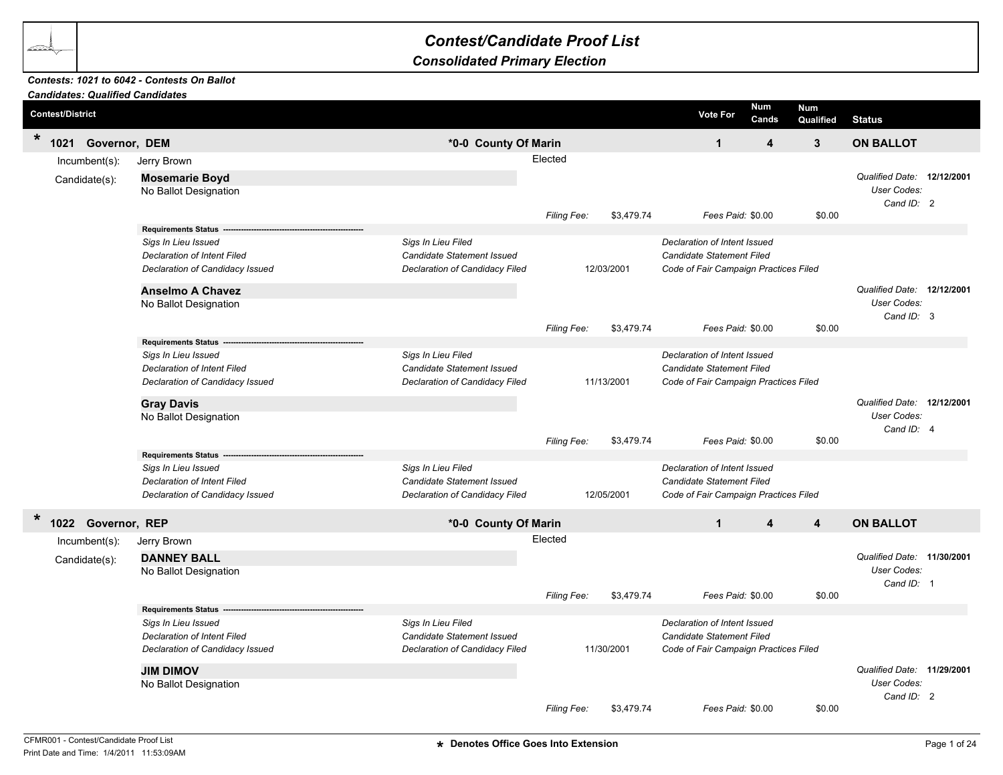## *Contest/Candidate Proof List*

## *Consolidated Primary Election*

## *Candidates: Qualified Candidates Contests: 1021 to 6042 - Contests On Ballot*

|         |                         | Candidates: Qualified Candidates |                                                   |                                |                    |            |                                       |                         |                         |                                                         |  |
|---------|-------------------------|----------------------------------|---------------------------------------------------|--------------------------------|--------------------|------------|---------------------------------------|-------------------------|-------------------------|---------------------------------------------------------|--|
|         | <b>Contest/District</b> |                                  |                                                   |                                |                    |            | <b>Vote For</b>                       | <b>Num</b><br>Cands     | <b>Num</b><br>Qualified | <b>Status</b>                                           |  |
| $\star$ |                         | 1021 Governor, DEM               |                                                   | *0-0 County Of Marin           |                    |            | $\mathbf{1}$                          | $\overline{\mathbf{4}}$ | $\mathbf{3}$            | <b>ON BALLOT</b>                                        |  |
|         |                         | $Incumbent(s)$ :                 | Jerry Brown                                       |                                | Elected            |            |                                       |                         |                         |                                                         |  |
|         |                         | Candidate(s):                    | <b>Mosemarie Boyd</b><br>No Ballot Designation    |                                | Filing Fee:        | \$3,479.74 | Fees Paid: \$0.00                     |                         | \$0.00                  | Qualified Date: 12/12/2001<br>User Codes:<br>Cand ID: 2 |  |
|         |                         |                                  | <b>Requirements Status</b>                        |                                |                    |            |                                       |                         |                         |                                                         |  |
|         |                         |                                  | Sigs In Lieu Issued                               | Sigs In Lieu Filed             |                    |            | Declaration of Intent Issued          |                         |                         |                                                         |  |
|         |                         |                                  | <b>Declaration of Intent Filed</b>                | Candidate Statement Issued     |                    |            | <b>Candidate Statement Filed</b>      |                         |                         |                                                         |  |
|         |                         |                                  | Declaration of Candidacy Issued                   | Declaration of Candidacy Filed |                    | 12/03/2001 | Code of Fair Campaign Practices Filed |                         |                         |                                                         |  |
|         |                         |                                  | <b>Anselmo A Chavez</b>                           |                                |                    |            |                                       |                         |                         | Qualified Date: 12/12/2001                              |  |
|         |                         |                                  | No Ballot Designation                             |                                |                    |            |                                       |                         |                         | User Codes:                                             |  |
|         |                         |                                  |                                                   |                                | Filing Fee:        | \$3,479.74 | Fees Paid: \$0.00                     |                         | \$0.00                  | Cand ID: 3                                              |  |
|         |                         |                                  | <b>Requirements Status</b>                        |                                |                    |            |                                       |                         |                         |                                                         |  |
|         |                         |                                  | Sigs In Lieu Issued                               | Sigs In Lieu Filed             |                    |            | Declaration of Intent Issued          |                         |                         |                                                         |  |
|         |                         |                                  | <b>Declaration of Intent Filed</b>                | Candidate Statement Issued     |                    |            | Candidate Statement Filed             |                         |                         |                                                         |  |
|         |                         |                                  | Declaration of Candidacy Issued                   | Declaration of Candidacy Filed |                    | 11/13/2001 | Code of Fair Campaign Practices Filed |                         |                         |                                                         |  |
|         |                         |                                  | <b>Gray Davis</b>                                 |                                |                    |            |                                       |                         |                         | Qualified Date: 12/12/2001                              |  |
|         |                         |                                  | No Ballot Designation                             |                                |                    |            |                                       |                         |                         | User Codes:                                             |  |
|         |                         |                                  |                                                   |                                |                    |            |                                       |                         |                         | Cand ID: 4                                              |  |
|         |                         |                                  |                                                   |                                | Filing Fee:        | \$3,479.74 | Fees Paid: \$0.00                     |                         | \$0.00                  |                                                         |  |
|         |                         |                                  | <b>Requirements Status</b><br>Sigs In Lieu Issued | Sigs In Lieu Filed             |                    |            | Declaration of Intent Issued          |                         |                         |                                                         |  |
|         |                         |                                  | Declaration of Intent Filed                       | Candidate Statement Issued     |                    |            | Candidate Statement Filed             |                         |                         |                                                         |  |
|         |                         |                                  | Declaration of Candidacy Issued                   | Declaration of Candidacy Filed |                    | 12/05/2001 | Code of Fair Campaign Practices Filed |                         |                         |                                                         |  |
|         |                         |                                  |                                                   |                                |                    |            |                                       |                         |                         |                                                         |  |
| $\ast$  |                         | 1022 Governor, REP               |                                                   | *0-0 County Of Marin           |                    |            | $\mathbf{1}$                          | 4                       | 4                       | <b>ON BALLOT</b>                                        |  |
|         |                         | $Incumbent(s)$ :                 | Jerry Brown                                       |                                | Elected            |            |                                       |                         |                         |                                                         |  |
|         |                         | Candidate(s):                    | <b>DANNEY BALL</b>                                |                                |                    |            |                                       |                         |                         | Qualified Date: 11/30/2001                              |  |
|         |                         |                                  | No Ballot Designation                             |                                |                    |            |                                       |                         |                         | <b>User Codes:</b>                                      |  |
|         |                         |                                  |                                                   |                                |                    |            |                                       |                         |                         | Cand ID: 1                                              |  |
|         |                         |                                  |                                                   |                                | Filing Fee:        | \$3,479.74 | Fees Paid: \$0.00                     |                         | \$0.00                  |                                                         |  |
|         |                         |                                  | <b>Requirements Status</b><br>Sigs In Lieu Issued | Sigs In Lieu Filed             |                    |            | Declaration of Intent Issued          |                         |                         |                                                         |  |
|         |                         |                                  | <b>Declaration of Intent Filed</b>                | Candidate Statement Issued     |                    |            | Candidate Statement Filed             |                         |                         |                                                         |  |
|         |                         |                                  | Declaration of Candidacy Issued                   | Declaration of Candidacy Filed |                    | 11/30/2001 | Code of Fair Campaign Practices Filed |                         |                         |                                                         |  |
|         |                         |                                  |                                                   |                                |                    |            |                                       |                         |                         |                                                         |  |
|         |                         |                                  | <b>JIM DIMOV</b>                                  |                                |                    |            |                                       |                         |                         | Qualified Date: 11/29/2001<br>User Codes:               |  |
|         |                         |                                  | No Ballot Designation                             |                                |                    |            |                                       |                         |                         | Cand ID: 2                                              |  |
|         |                         |                                  |                                                   |                                | <b>Filing Fee:</b> | \$3,479.74 | Fees Paid: \$0.00                     |                         | \$0.00                  |                                                         |  |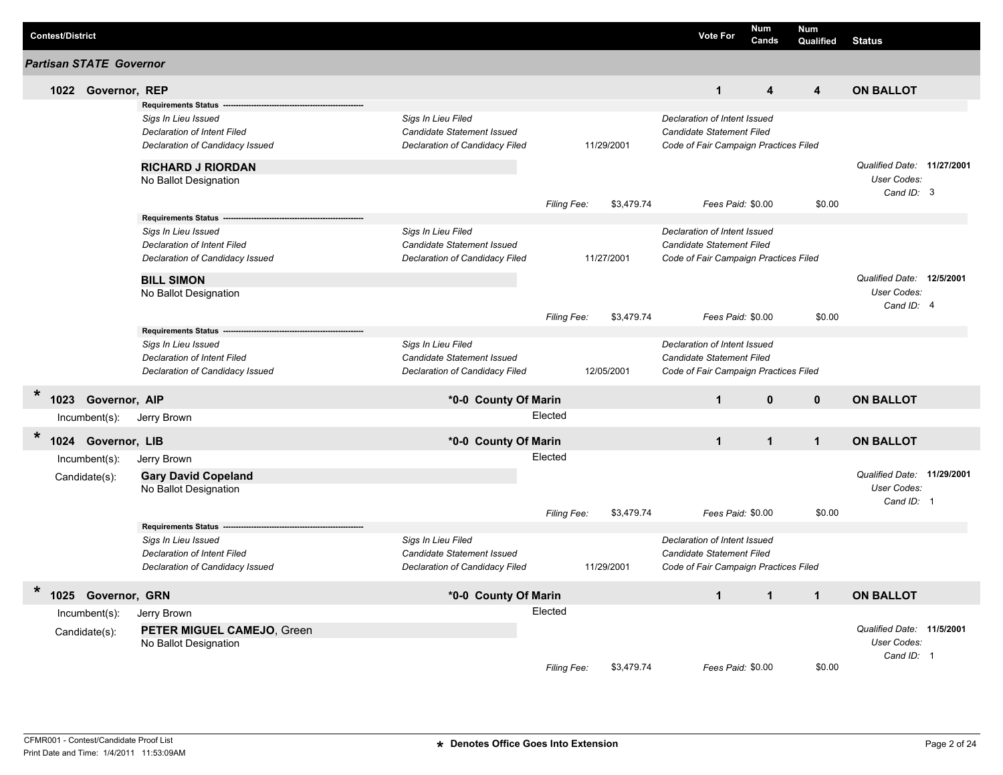| <b>Contest/District</b> |                                   |                                                                                                                                                                          |                                                                                    |                        |            | <b>Vote For</b>                                                                                    | Num<br>Cands            | <b>Num</b><br>Qualified | <b>Status</b>                                           |  |
|-------------------------|-----------------------------------|--------------------------------------------------------------------------------------------------------------------------------------------------------------------------|------------------------------------------------------------------------------------|------------------------|------------|----------------------------------------------------------------------------------------------------|-------------------------|-------------------------|---------------------------------------------------------|--|
|                         | Partisan STATE Governor           |                                                                                                                                                                          |                                                                                    |                        |            |                                                                                                    |                         |                         |                                                         |  |
|                         | 1022 Governor, REP                |                                                                                                                                                                          |                                                                                    |                        |            | $\mathbf{1}$                                                                                       | $\overline{\mathbf{4}}$ | $\overline{\mathbf{4}}$ | <b>ON BALLOT</b>                                        |  |
|                         |                                   | <b>Requirements Status</b><br>Sigs In Lieu Issued<br>Declaration of Intent Filed<br>Declaration of Candidacy Issued<br><b>RICHARD J RIORDAN</b><br>No Ballot Designation | Sigs In Lieu Filed<br>Candidate Statement Issued<br>Declaration of Candidacy Filed |                        | 11/29/2001 | Declaration of Intent Issued<br>Candidate Statement Filed<br>Code of Fair Campaign Practices Filed |                         |                         | Qualified Date: 11/27/2001<br>User Codes:<br>Cand ID: 3 |  |
|                         |                                   |                                                                                                                                                                          |                                                                                    | Filing Fee:            | \$3,479.74 | Fees Paid: \$0.00                                                                                  |                         | \$0.00                  |                                                         |  |
|                         |                                   | <b>Requirements Status</b><br>Sigs In Lieu Issued<br>Declaration of Intent Filed<br>Declaration of Candidacy Issued<br><b>BILL SIMON</b>                                 | Sigs In Lieu Filed<br>Candidate Statement Issued<br>Declaration of Candidacy Filed |                        | 11/27/2001 | Declaration of Intent Issued<br>Candidate Statement Filed<br>Code of Fair Campaign Practices Filed |                         |                         | Qualified Date: 12/5/2001                               |  |
|                         |                                   | No Ballot Designation                                                                                                                                                    |                                                                                    | Filing Fee:            | \$3,479.74 | Fees Paid: \$0.00                                                                                  |                         | \$0.00                  | User Codes:<br>Cand ID: 4                               |  |
|                         |                                   | <b>Requirements Status</b><br>Sigs In Lieu Issued<br>Declaration of Intent Filed<br>Declaration of Candidacy Issued                                                      | Sigs In Lieu Filed<br>Candidate Statement Issued<br>Declaration of Candidacy Filed |                        | 12/05/2001 | Declaration of Intent Issued<br>Candidate Statement Filed<br>Code of Fair Campaign Practices Filed |                         |                         |                                                         |  |
| $\ast$                  | 1023 Governor, AIP                |                                                                                                                                                                          | *0-0 County Of Marin                                                               |                        |            | $\mathbf{1}$                                                                                       | $\mathbf{0}$            | $\mathbf{0}$            | <b>ON BALLOT</b>                                        |  |
|                         | $Incumbent(s)$ :                  | Jerry Brown                                                                                                                                                              |                                                                                    | Elected                |            |                                                                                                    |                         |                         |                                                         |  |
| $\star$<br>1024         | Governor, LIB                     |                                                                                                                                                                          | *0-0 County Of Marin                                                               |                        |            | $\mathbf{1}$                                                                                       | $\mathbf{1}$            | $\mathbf{1}$            | <b>ON BALLOT</b>                                        |  |
|                         | Incumbent(s):<br>Candidate(s):    | Jerry Brown<br><b>Gary David Copeland</b><br>No Ballot Designation<br><b>Requirements Status</b>                                                                         |                                                                                    | Elected<br>Filing Fee: | \$3,479.74 | Fees Paid: \$0.00                                                                                  |                         | \$0.00                  | Qualified Date: 11/29/2001<br>User Codes:<br>Cand ID: 1 |  |
|                         |                                   | Sigs In Lieu Issued<br>Declaration of Intent Filed<br>Declaration of Candidacy Issued                                                                                    | Sigs In Lieu Filed<br>Candidate Statement Issued<br>Declaration of Candidacy Filed |                        | 11/29/2001 | Declaration of Intent Issued<br>Candidate Statement Filed<br>Code of Fair Campaign Practices Filed |                         |                         |                                                         |  |
| $\star$                 | 1025 Governor, GRN                |                                                                                                                                                                          | *0-0 County Of Marin                                                               |                        |            | $\mathbf{1}$                                                                                       | $\mathbf{1}$            | $\mathbf{1}$            | <b>ON BALLOT</b>                                        |  |
|                         | $Incumbent(s)$ :<br>Candidate(s): | Jerry Brown<br>PETER MIGUEL CAMEJO, Green<br>No Ballot Designation                                                                                                       |                                                                                    | Elected<br>Filing Fee: | \$3,479.74 | Fees Paid: \$0.00                                                                                  |                         | \$0.00                  | Qualified Date: 11/5/2001<br>User Codes:<br>Cand ID: 1  |  |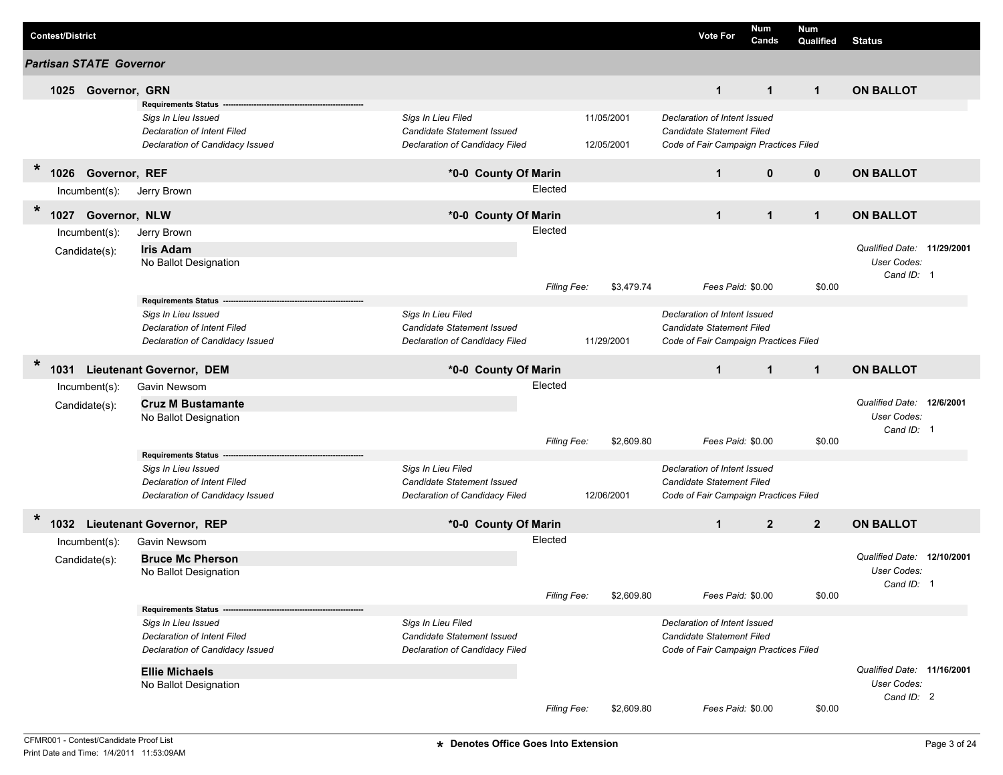|         | <b>Contest/District</b> |                                |                                                                                                                     |                                                                                           |                    |                          | <b>Vote For</b>                                                                                           | Num<br>Cands   | <b>Num</b><br>Qualified | <b>Status</b>                                           |  |
|---------|-------------------------|--------------------------------|---------------------------------------------------------------------------------------------------------------------|-------------------------------------------------------------------------------------------|--------------------|--------------------------|-----------------------------------------------------------------------------------------------------------|----------------|-------------------------|---------------------------------------------------------|--|
|         |                         | <b>Partisan STATE Governor</b> |                                                                                                                     |                                                                                           |                    |                          |                                                                                                           |                |                         |                                                         |  |
|         |                         | 1025 Governor, GRN             |                                                                                                                     |                                                                                           |                    |                          | $\mathbf{1}$                                                                                              | $\mathbf{1}$   | $\mathbf{1}$            | <b>ON BALLOT</b>                                        |  |
|         |                         |                                | <b>Requirements Status</b><br>Sigs In Lieu Issued<br>Declaration of Intent Filed<br>Declaration of Candidacy Issued | Sigs In Lieu Filed<br>Candidate Statement Issued<br>Declaration of Candidacy Filed        |                    | 11/05/2001<br>12/05/2001 | Declaration of Intent Issued<br><b>Candidate Statement Filed</b><br>Code of Fair Campaign Practices Filed |                |                         |                                                         |  |
| $\ast$  |                         | 1026 Governor, REF             |                                                                                                                     | *0-0 County Of Marin                                                                      |                    |                          | $\mathbf{1}$                                                                                              | $\mathbf{0}$   | $\mathbf 0$             | <b>ON BALLOT</b>                                        |  |
|         |                         | Incumbent(s):                  | Jerry Brown                                                                                                         |                                                                                           | Elected            |                          |                                                                                                           |                |                         |                                                         |  |
| $\star$ | 1027                    | Governor, NLW                  |                                                                                                                     | *0-0 County Of Marin                                                                      |                    |                          | $\mathbf{1}$                                                                                              | $\mathbf{1}$   | $\mathbf{1}$            | <b>ON BALLOT</b>                                        |  |
|         |                         | Incumbent(s):                  | Jerry Brown                                                                                                         |                                                                                           | Elected            |                          |                                                                                                           |                |                         |                                                         |  |
|         |                         | Candidate(s):                  | <b>Iris Adam</b><br>No Ballot Designation                                                                           |                                                                                           |                    |                          |                                                                                                           |                |                         | Qualified Date: 11/29/2001<br>User Codes:<br>Cand ID: 1 |  |
|         |                         |                                |                                                                                                                     |                                                                                           | Filing Fee:        | \$3,479.74               | Fees Paid: \$0.00                                                                                         |                | \$0.00                  |                                                         |  |
|         |                         |                                | <b>Requirements Status</b><br>Sigs In Lieu Issued<br>Declaration of Intent Filed<br>Declaration of Candidacy Issued | Sigs In Lieu Filed<br>Candidate Statement Issued<br>Declaration of Candidacy Filed        |                    | 11/29/2001               | Declaration of Intent Issued<br><b>Candidate Statement Filed</b><br>Code of Fair Campaign Practices Filed |                |                         |                                                         |  |
| $\star$ | 1031                    |                                | <b>Lieutenant Governor, DEM</b>                                                                                     | *0-0 County Of Marin                                                                      |                    |                          | $\mathbf{1}$                                                                                              | $\mathbf{1}$   | $\mathbf{1}$            | <b>ON BALLOT</b>                                        |  |
|         |                         | $lncumbent(s)$ :               | Gavin Newsom                                                                                                        |                                                                                           | Elected            |                          |                                                                                                           |                |                         |                                                         |  |
|         |                         | Candidate(s):                  | <b>Cruz M Bustamante</b><br>No Ballot Designation                                                                   |                                                                                           |                    |                          |                                                                                                           |                |                         | Qualified Date: 12/6/2001<br>User Codes:<br>Cand ID: 1  |  |
|         |                         |                                | <b>Requirements Status</b>                                                                                          |                                                                                           | <b>Filing Fee:</b> | \$2,609.80               | Fees Paid: \$0.00                                                                                         |                | \$0.00                  |                                                         |  |
|         |                         |                                | Sigs In Lieu Issued<br>Declaration of Intent Filed<br>Declaration of Candidacy Issued                               | Sigs In Lieu Filed<br><b>Candidate Statement Issued</b><br>Declaration of Candidacy Filed |                    | 12/06/2001               | Declaration of Intent Issued<br><b>Candidate Statement Filed</b><br>Code of Fair Campaign Practices Filed |                |                         |                                                         |  |
| $\ast$  |                         |                                | 1032 Lieutenant Governor, REP                                                                                       | *0-0 County Of Marin                                                                      |                    |                          | $\mathbf{1}$                                                                                              | $\overline{2}$ | $\overline{2}$          | <b>ON BALLOT</b>                                        |  |
|         |                         | Incumbent(s):                  | Gavin Newsom                                                                                                        |                                                                                           | Elected            |                          |                                                                                                           |                |                         |                                                         |  |
|         |                         | Candidate(s):                  | <b>Bruce Mc Pherson</b><br>No Ballot Designation                                                                    |                                                                                           |                    |                          |                                                                                                           |                |                         | Qualified Date: 12/10/2001<br>User Codes:<br>Cand ID: 1 |  |
|         |                         |                                | Requirements Status ---                                                                                             |                                                                                           | Filing Fee:        | \$2,609.80               | Fees Paid: \$0.00                                                                                         |                | \$0.00                  |                                                         |  |
|         |                         |                                | Sigs In Lieu Issued<br>Declaration of Intent Filed<br>Declaration of Candidacy Issued                               | Sigs In Lieu Filed<br>Candidate Statement Issued<br>Declaration of Candidacy Filed        |                    |                          | Declaration of Intent Issued<br><b>Candidate Statement Filed</b><br>Code of Fair Campaign Practices Filed |                |                         |                                                         |  |
|         |                         |                                | <b>Ellie Michaels</b><br>No Ballot Designation                                                                      |                                                                                           |                    |                          |                                                                                                           |                |                         | Qualified Date: 11/16/2001<br>User Codes:<br>Cand ID: 2 |  |
|         |                         |                                |                                                                                                                     |                                                                                           | Filing Fee:        | \$2,609.80               | Fees Paid: \$0.00                                                                                         |                | \$0.00                  |                                                         |  |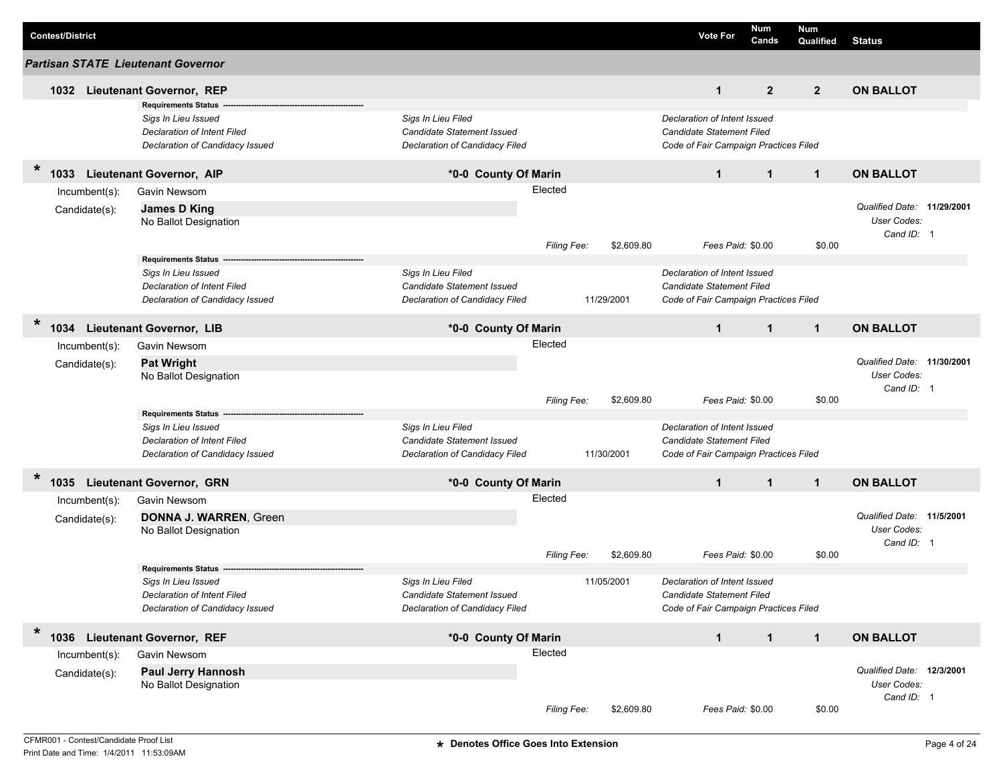|        | <b>Contest/District</b> |               |                                                                |                                                              |             |            |            | <b>Vote For</b>                                                    | Num<br>Cands | <b>Num</b><br>Qualified | <b>Status</b>              |  |
|--------|-------------------------|---------------|----------------------------------------------------------------|--------------------------------------------------------------|-------------|------------|------------|--------------------------------------------------------------------|--------------|-------------------------|----------------------------|--|
|        |                         |               | <b>Partisan STATE Lieutenant Governor</b>                      |                                                              |             |            |            |                                                                    |              |                         |                            |  |
|        | 1032                    |               | <b>Lieutenant Governor, REP</b>                                |                                                              |             |            |            | $\mathbf{1}$                                                       | $\mathbf{2}$ | $\overline{2}$          | <b>ON BALLOT</b>           |  |
|        |                         |               | <b>Requirements Status</b>                                     |                                                              |             |            |            |                                                                    |              |                         |                            |  |
|        |                         |               | Sigs In Lieu Issued                                            | Sigs In Lieu Filed                                           |             |            |            | Declaration of Intent Issued                                       |              |                         |                            |  |
|        |                         |               | Declaration of Intent Filed                                    | Candidate Statement Issued                                   |             |            |            | Candidate Statement Filed                                          |              |                         |                            |  |
|        |                         |               | Declaration of Candidacy Issued                                | Declaration of Candidacy Filed                               |             |            |            | Code of Fair Campaign Practices Filed                              |              |                         |                            |  |
| $\ast$ | 1033                    |               | <b>Lieutenant Governor, AIP</b>                                | *0-0 County Of Marin                                         |             |            |            | $\mathbf{1}$                                                       | $\mathbf{1}$ | $\mathbf{1}$            | <b>ON BALLOT</b>           |  |
|        |                         | Incumbent(s): | Gavin Newsom                                                   |                                                              | Elected     |            |            |                                                                    |              |                         |                            |  |
|        |                         | Candidate(s): | James D King                                                   |                                                              |             |            |            |                                                                    |              |                         | Qualified Date: 11/29/2001 |  |
|        |                         |               | No Ballot Designation                                          |                                                              |             |            |            |                                                                    |              |                         | User Codes:                |  |
|        |                         |               |                                                                |                                                              |             |            |            |                                                                    |              |                         | Cand ID: 1                 |  |
|        |                         |               |                                                                |                                                              | Filing Fee: |            | \$2,609.80 | Fees Paid: \$0.00                                                  |              | \$0.00                  |                            |  |
|        |                         |               | <b>Requirements Status</b>                                     |                                                              |             |            |            |                                                                    |              |                         |                            |  |
|        |                         |               | Sigs In Lieu Issued                                            | Sigs In Lieu Filed                                           |             |            |            | Declaration of Intent Issued                                       |              |                         |                            |  |
|        |                         |               | Declaration of Intent Filed<br>Declaration of Candidacy Issued | Candidate Statement Issued<br>Declaration of Candidacy Filed |             | 11/29/2001 |            | Candidate Statement Filed<br>Code of Fair Campaign Practices Filed |              |                         |                            |  |
|        |                         |               |                                                                |                                                              |             |            |            |                                                                    |              |                         |                            |  |
| $\ast$ | 1034                    |               | <b>Lieutenant Governor, LIB</b>                                | *0-0 County Of Marin                                         |             |            |            | $\mathbf 1$                                                        | $\mathbf 1$  | $\mathbf{1}$            | <b>ON BALLOT</b>           |  |
|        |                         | Incumbent(s): | Gavin Newsom                                                   |                                                              | Elected     |            |            |                                                                    |              |                         |                            |  |
|        |                         | Candidate(s): | <b>Pat Wright</b>                                              |                                                              |             |            |            |                                                                    |              |                         | Qualified Date: 11/30/2001 |  |
|        |                         |               | No Ballot Designation                                          |                                                              |             |            |            |                                                                    |              |                         | User Codes:                |  |
|        |                         |               |                                                                |                                                              |             |            |            |                                                                    |              |                         | Cand ID: 1                 |  |
|        |                         |               |                                                                |                                                              | Filing Fee: |            | \$2,609.80 | Fees Paid: \$0.00                                                  |              | \$0.00                  |                            |  |
|        |                         |               | <b>Requirements Status</b>                                     |                                                              |             |            |            |                                                                    |              |                         |                            |  |
|        |                         |               | Sigs In Lieu Issued                                            | Sigs In Lieu Filed                                           |             |            |            | Declaration of Intent Issued                                       |              |                         |                            |  |
|        |                         |               | Declaration of Intent Filed                                    | Candidate Statement Issued                                   |             |            |            | Candidate Statement Filed                                          |              |                         |                            |  |
|        |                         |               | Declaration of Candidacy Issued                                | Declaration of Candidacy Filed                               |             | 11/30/2001 |            | Code of Fair Campaign Practices Filed                              |              |                         |                            |  |
| *      | 1035                    |               | <b>Lieutenant Governor, GRN</b>                                | *0-0 County Of Marin                                         |             |            |            | $\mathbf{1}$                                                       | $\mathbf{1}$ | $\mathbf{1}$            | <b>ON BALLOT</b>           |  |
|        |                         | Incumbent(s): | <b>Gavin Newsom</b>                                            |                                                              | Elected     |            |            |                                                                    |              |                         |                            |  |
|        |                         |               | <b>DONNA J. WARREN, Green</b>                                  |                                                              |             |            |            |                                                                    |              |                         | Qualified Date: 11/5/2001  |  |
|        |                         | Candidate(s): | No Ballot Designation                                          |                                                              |             |            |            |                                                                    |              |                         | User Codes:                |  |
|        |                         |               |                                                                |                                                              |             |            |            |                                                                    |              |                         | Cand ID: 1                 |  |
|        |                         |               |                                                                |                                                              | Filing Fee: |            | \$2,609.80 | Fees Paid: \$0.00                                                  |              | \$0.00                  |                            |  |
|        |                         |               | <b>Requirements Status</b>                                     |                                                              |             |            |            |                                                                    |              |                         |                            |  |
|        |                         |               | Sias In Lieu Issued                                            | Sigs In Lieu Filed                                           |             | 11/05/2001 |            | Declaration of Intent Issued                                       |              |                         |                            |  |
|        |                         |               | Declaration of Intent Filed                                    | Candidate Statement Issued                                   |             |            |            | Candidate Statement Filed                                          |              |                         |                            |  |
|        |                         |               | Declaration of Candidacy Issued                                | Declaration of Candidacy Filed                               |             |            |            | Code of Fair Campaign Practices Filed                              |              |                         |                            |  |
| $\ast$ | 1036                    |               | <b>Lieutenant Governor, REF</b>                                | *0-0 County Of Marin                                         |             |            |            | $\mathbf 1$                                                        | $\mathbf{1}$ | $\mathbf{1}$            | <b>ON BALLOT</b>           |  |
|        |                         | Incumbent(s): | Gavin Newsom                                                   |                                                              | Elected     |            |            |                                                                    |              |                         |                            |  |
|        |                         | Candidate(s): | <b>Paul Jerry Hannosh</b>                                      |                                                              |             |            |            |                                                                    |              |                         | Qualified Date: 12/3/2001  |  |
|        |                         |               | No Ballot Designation                                          |                                                              |             |            |            |                                                                    |              |                         | User Codes:                |  |
|        |                         |               |                                                                |                                                              |             |            |            |                                                                    |              |                         | Cand ID: 1                 |  |
|        |                         |               |                                                                |                                                              | Filing Fee: |            | \$2,609.80 | Fees Paid: \$0.00                                                  |              | \$0.00                  |                            |  |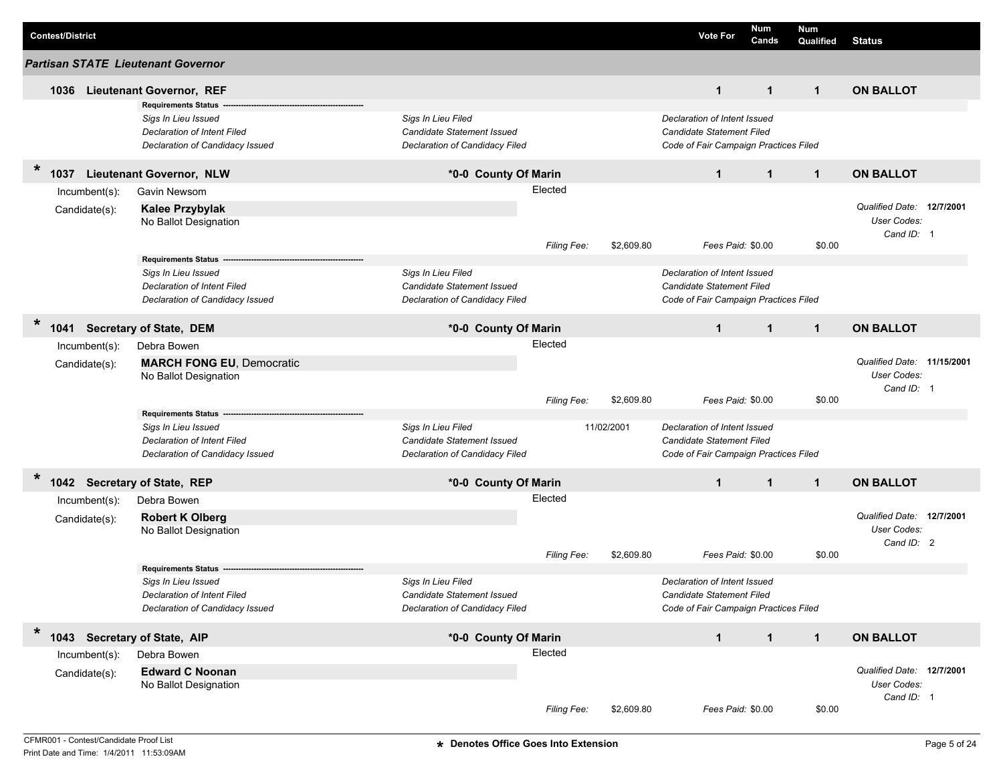|         | <b>Contest/District</b>      |                                                    |                                                  |             |            | <b>Vote For</b>                                           | Num<br>Cands | <b>Num</b><br>Qualified | <b>Status</b>              |  |
|---------|------------------------------|----------------------------------------------------|--------------------------------------------------|-------------|------------|-----------------------------------------------------------|--------------|-------------------------|----------------------------|--|
|         |                              | <b>Partisan STATE Lieutenant Governor</b>          |                                                  |             |            |                                                           |              |                         |                            |  |
|         |                              | 1036 Lieutenant Governor, REF                      |                                                  |             |            | $\mathbf{1}$                                              | $\mathbf{1}$ | $\mathbf{1}$            | <b>ON BALLOT</b>           |  |
|         |                              | <b>Requirements Status</b>                         |                                                  |             |            |                                                           |              |                         |                            |  |
|         |                              | Sigs In Lieu Issued                                | Sigs In Lieu Filed                               |             |            | Declaration of Intent Issued                              |              |                         |                            |  |
|         |                              | Declaration of Intent Filed                        | Candidate Statement Issued                       |             |            | Candidate Statement Filed                                 |              |                         |                            |  |
|         |                              | Declaration of Candidacy Issued                    | Declaration of Candidacy Filed                   |             |            | Code of Fair Campaign Practices Filed                     |              |                         |                            |  |
| $\star$ | 1037                         | <b>Lieutenant Governor, NLW</b>                    | *0-0 County Of Marin                             |             |            | $\mathbf{1}$                                              | $\mathbf{1}$ | $\mathbf{1}$            | <b>ON BALLOT</b>           |  |
|         | Incumbent(s):                | Gavin Newsom                                       |                                                  | Elected     |            |                                                           |              |                         |                            |  |
|         | Candidate(s):                | <b>Kalee Przybylak</b>                             |                                                  |             |            |                                                           |              |                         | Qualified Date: 12/7/2001  |  |
|         |                              | No Ballot Designation                              |                                                  |             |            |                                                           |              |                         | <b>User Codes:</b>         |  |
|         |                              |                                                    |                                                  |             |            |                                                           |              |                         | Cand ID: 1                 |  |
|         |                              |                                                    |                                                  | Filing Fee: | \$2,609.80 | Fees Paid: \$0.00                                         |              | \$0.00                  |                            |  |
|         |                              | <b>Requirements Status</b><br>Sigs In Lieu Issued  | Sigs In Lieu Filed                               |             |            | Declaration of Intent Issued                              |              |                         |                            |  |
|         |                              | <b>Declaration of Intent Filed</b>                 | Candidate Statement Issued                       |             |            | Candidate Statement Filed                                 |              |                         |                            |  |
|         |                              | Declaration of Candidacy Issued                    | Declaration of Candidacy Filed                   |             |            | Code of Fair Campaign Practices Filed                     |              |                         |                            |  |
|         |                              |                                                    |                                                  |             |            |                                                           |              |                         |                            |  |
| $\ast$  | 1041                         | <b>Secretary of State, DEM</b>                     | *0-0 County Of Marin                             |             |            | $\mathbf{1}$                                              | $\mathbf{1}$ | $\mathbf{1}$            | <b>ON BALLOT</b>           |  |
|         | Incumbent(s):                | Debra Bowen                                        |                                                  | Elected     |            |                                                           |              |                         |                            |  |
|         | Candidate(s):                | <b>MARCH FONG EU, Democratic</b>                   |                                                  |             |            |                                                           |              |                         | Qualified Date: 11/15/2001 |  |
|         |                              | No Ballot Designation                              |                                                  |             |            |                                                           |              |                         | User Codes:                |  |
|         |                              |                                                    |                                                  |             |            |                                                           |              |                         | Cand ID: 1                 |  |
|         |                              |                                                    |                                                  | Filing Fee: | \$2,609.80 | Fees Paid: \$0.00                                         |              | \$0.00                  |                            |  |
|         |                              | <b>Requirements Status</b>                         |                                                  |             |            |                                                           |              |                         |                            |  |
|         |                              | Sigs In Lieu Issued<br>Declaration of Intent Filed | Sigs In Lieu Filed<br>Candidate Statement Issued |             | 11/02/2001 | Declaration of Intent Issued<br>Candidate Statement Filed |              |                         |                            |  |
|         |                              | Declaration of Candidacy Issued                    | Declaration of Candidacy Filed                   |             |            | Code of Fair Campaign Practices Filed                     |              |                         |                            |  |
|         |                              |                                                    |                                                  |             |            |                                                           |              |                         |                            |  |
| $\ast$  | 1042 Secretary of State, REP |                                                    | *0-0 County Of Marin                             |             |            | $\mathbf{1}$                                              | $\mathbf{1}$ | $\mathbf{1}$            | <b>ON BALLOT</b>           |  |
|         | $Incumbent(s)$ :             | Debra Bowen                                        |                                                  | Elected     |            |                                                           |              |                         |                            |  |
|         | Candidate(s):                | <b>Robert K Olberg</b>                             |                                                  |             |            |                                                           |              |                         | Qualified Date: 12/7/2001  |  |
|         |                              | No Ballot Designation                              |                                                  |             |            |                                                           |              |                         | User Codes:                |  |
|         |                              |                                                    |                                                  |             |            | Fees Paid: \$0.00                                         |              |                         | Cand ID: 2                 |  |
|         |                              | <b>Requirements Status</b>                         |                                                  | Filing Fee: | \$2,609.80 |                                                           |              | \$0.00                  |                            |  |
|         |                              | Sigs In Lieu Issued                                | Sigs In Lieu Filed                               |             |            | Declaration of Intent Issued                              |              |                         |                            |  |
|         |                              | Declaration of Intent Filed                        | Candidate Statement Issued                       |             |            | Candidate Statement Filed                                 |              |                         |                            |  |
|         |                              | Declaration of Candidacy Issued                    | Declaration of Candidacy Filed                   |             |            | Code of Fair Campaign Practices Filed                     |              |                         |                            |  |
|         |                              |                                                    |                                                  |             |            |                                                           |              |                         |                            |  |
| $\ast$  | 1043 Secretary of State, AIP |                                                    | *0-0 County Of Marin                             |             |            | $\mathbf{1}$                                              | $\mathbf{1}$ | $\mathbf{1}$            | <b>ON BALLOT</b>           |  |
|         | Incumbent(s):                | Debra Bowen                                        |                                                  | Elected     |            |                                                           |              |                         |                            |  |
|         | Candidate(s):                | <b>Edward C Noonan</b>                             |                                                  |             |            |                                                           |              |                         | Qualified Date: 12/7/2001  |  |
|         |                              | No Ballot Designation                              |                                                  |             |            |                                                           |              |                         | User Codes:                |  |
|         |                              |                                                    |                                                  |             |            |                                                           |              |                         | Cand ID: 1                 |  |
|         |                              |                                                    |                                                  | Filing Fee: | \$2,609.80 | Fees Paid: \$0.00                                         |              | \$0.00                  |                            |  |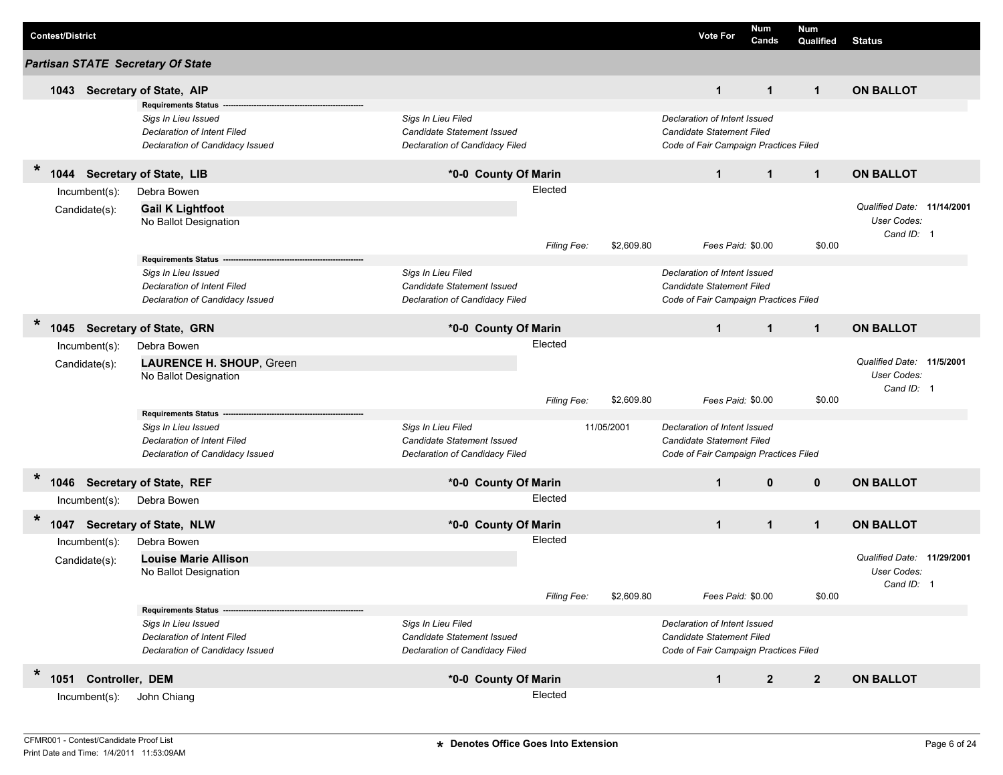| <b>Contest/District</b>                  |                                                                                                                            |                                                                                           |                        |            | <b>Vote For</b>                                                                                    | Num<br>Cands | <b>Num</b><br>Qualified | <b>Status</b>                                           |  |
|------------------------------------------|----------------------------------------------------------------------------------------------------------------------------|-------------------------------------------------------------------------------------------|------------------------|------------|----------------------------------------------------------------------------------------------------|--------------|-------------------------|---------------------------------------------------------|--|
| <b>Partisan STATE Secretary Of State</b> |                                                                                                                            |                                                                                           |                        |            |                                                                                                    |              |                         |                                                         |  |
| 1043 Secretary of State, AIP             |                                                                                                                            |                                                                                           |                        |            | $\mathbf{1}$                                                                                       | $\mathbf{1}$ | $\mathbf{1}$            | <b>ON BALLOT</b>                                        |  |
|                                          | <b>Requirements Status --</b><br>Sigs In Lieu Issued<br>Declaration of Intent Filed<br>Declaration of Candidacy Issued     | Sigs In Lieu Filed<br>Candidate Statement Issued<br>Declaration of Candidacy Filed        |                        |            | Declaration of Intent Issued<br>Candidate Statement Filed<br>Code of Fair Campaign Practices Filed |              |                         |                                                         |  |
| $\ast$<br>1044                           | <b>Secretary of State, LIB</b>                                                                                             | *0-0 County Of Marin                                                                      |                        |            | $\mathbf{1}$                                                                                       | $\mathbf{1}$ | $\mathbf{1}$            | <b>ON BALLOT</b>                                        |  |
| Incumbent(s):<br>Candidate(s):           | Debra Bowen<br><b>Gail K Lightfoot</b><br>No Ballot Designation                                                            |                                                                                           | Elected<br>Filing Fee: | \$2,609.80 | Fees Paid: \$0.00                                                                                  |              | \$0.00                  | Qualified Date: 11/14/2001<br>User Codes:<br>Cand ID: 1 |  |
|                                          | <b>Requirements Status</b><br>Sigs In Lieu Issued<br><b>Declaration of Intent Filed</b><br>Declaration of Candidacy Issued | Sigs In Lieu Filed<br><b>Candidate Statement Issued</b><br>Declaration of Candidacy Filed |                        |            | Declaration of Intent Issued<br>Candidate Statement Filed<br>Code of Fair Campaign Practices Filed |              |                         |                                                         |  |
| $\ast$                                   | 1045 Secretary of State, GRN                                                                                               | *0-0 County Of Marin                                                                      |                        |            | $\mathbf{1}$                                                                                       | $\mathbf{1}$ | $\mathbf{1}$            | <b>ON BALLOT</b>                                        |  |
| Incumbent(s):<br>Candidate(s):           | Debra Bowen<br>LAURENCE H. SHOUP, Green<br>No Ballot Designation                                                           |                                                                                           | Elected                |            |                                                                                                    |              |                         | Qualified Date: 11/5/2001<br>User Codes:                |  |
|                                          |                                                                                                                            |                                                                                           | Filing Fee:            | \$2,609.80 | Fees Paid: \$0.00                                                                                  |              | \$0.00                  | Cand ID: 1                                              |  |
|                                          | <b>Requirements Status</b><br>Sigs In Lieu Issued<br><b>Declaration of Intent Filed</b><br>Declaration of Candidacy Issued | Sigs In Lieu Filed<br>Candidate Statement Issued<br>Declaration of Candidacy Filed        |                        | 11/05/2001 | Declaration of Intent Issued<br>Candidate Statement Filed<br>Code of Fair Campaign Practices Filed |              |                         |                                                         |  |
| $\ast$<br>1046 Secretary of State, REF   |                                                                                                                            | *0-0 County Of Marin                                                                      |                        |            | $\mathbf{1}$                                                                                       | $\mathbf{0}$ | $\mathbf{0}$            | <b>ON BALLOT</b>                                        |  |
| Incumbent(s):                            | Debra Bowen                                                                                                                |                                                                                           | Elected                |            |                                                                                                    |              |                         |                                                         |  |
| $\ast$                                   | 1047 Secretary of State, NLW                                                                                               | *0-0 County Of Marin                                                                      |                        |            | $\mathbf 1$                                                                                        | $\mathbf 1$  | $\mathbf{1}$            | <b>ON BALLOT</b>                                        |  |
| Incumbent(s):<br>Candidate(s):           | Debra Bowen<br><b>Louise Marie Allison</b><br>No Ballot Designation                                                        |                                                                                           | Elected<br>Filing Fee: | \$2,609.80 | Fees Paid: \$0.00                                                                                  |              | \$0.00                  | Qualified Date: 11/29/2001<br>User Codes:<br>Cand ID: 1 |  |
|                                          | <b>Requirements Status</b><br>Sigs In Lieu Issued<br>Declaration of Intent Filed<br>Declaration of Candidacy Issued        | Sigs In Lieu Filed<br><b>Candidate Statement Issued</b><br>Declaration of Candidacy Filed |                        |            | Declaration of Intent Issued<br>Candidate Statement Filed<br>Code of Fair Campaign Practices Filed |              |                         |                                                         |  |
| $\ast$<br>1051 Controller, DEM           |                                                                                                                            | *0-0 County Of Marin                                                                      |                        |            | $\mathbf 1$                                                                                        | $\mathbf{2}$ | $\overline{2}$          | <b>ON BALLOT</b>                                        |  |
| Incumbent(s):                            | John Chiang                                                                                                                |                                                                                           | Elected                |            |                                                                                                    |              |                         |                                                         |  |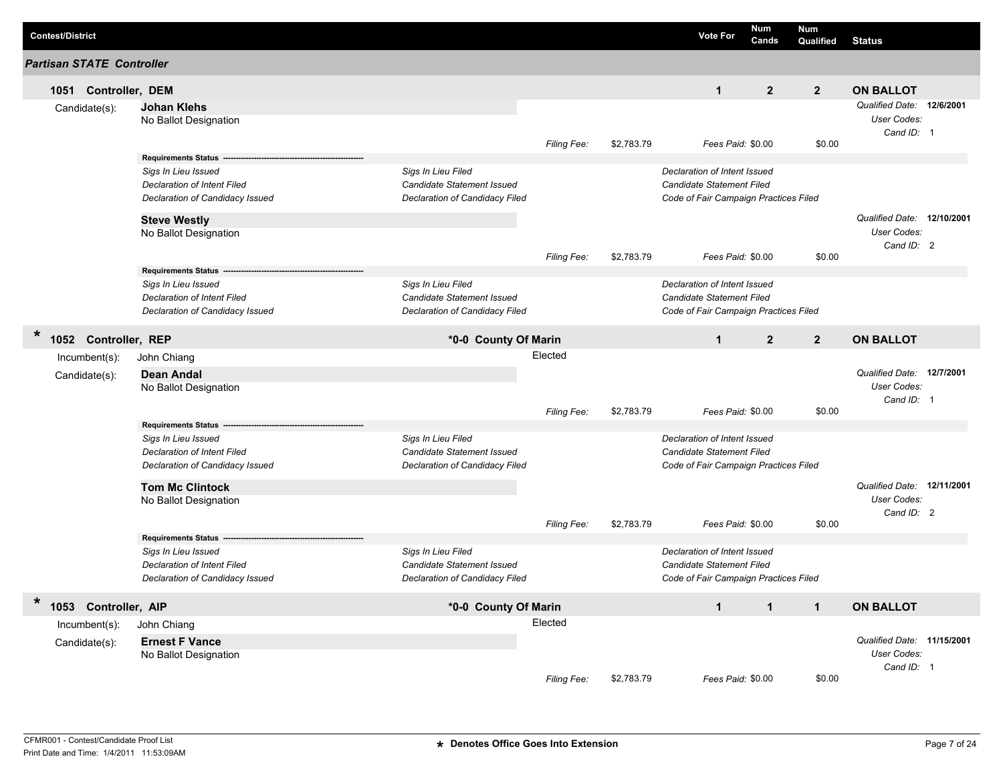| <b>Contest/District</b>               |                                                                                         |                                                                                    |                        |            | <b>Vote For</b>                                                                                    | <b>Num</b><br>Cands | <b>Num</b><br>Qualified | <b>Status</b>                                                 |  |
|---------------------------------------|-----------------------------------------------------------------------------------------|------------------------------------------------------------------------------------|------------------------|------------|----------------------------------------------------------------------------------------------------|---------------------|-------------------------|---------------------------------------------------------------|--|
| <b>Partisan STATE Controller</b>      |                                                                                         |                                                                                    |                        |            |                                                                                                    |                     |                         |                                                               |  |
| 1051 Controller, DEM                  |                                                                                         |                                                                                    |                        |            | $\mathbf{1}$                                                                                       | $\overline{2}$      | $\overline{2}$          | <b>ON BALLOT</b>                                              |  |
| Candidate(s):                         | <b>Johan Klehs</b><br>No Ballot Designation                                             |                                                                                    | Filing Fee:            | \$2,783.79 | Fees Paid: \$0.00                                                                                  |                     | \$0.00                  | Qualified Date: 12/6/2001<br>User Codes:<br>Cand ID: 1        |  |
|                                       | <b>Requirements Status</b><br>Sigs In Lieu Issued<br><b>Declaration of Intent Filed</b> | Sigs In Lieu Filed<br><b>Candidate Statement Issued</b>                            |                        |            | Declaration of Intent Issued<br>Candidate Statement Filed                                          |                     |                         |                                                               |  |
|                                       | Declaration of Candidacy Issued<br><b>Steve Westly</b>                                  | Declaration of Candidacy Filed                                                     |                        |            | Code of Fair Campaign Practices Filed                                                              |                     |                         | Qualified Date: 12/10/2001                                    |  |
|                                       | No Ballot Designation                                                                   |                                                                                    | <b>Filing Fee:</b>     | \$2,783.79 | Fees Paid: \$0.00                                                                                  |                     | \$0.00                  | <b>User Codes:</b><br>Cand ID: 2                              |  |
|                                       | Requirements Status -<br>Sigs In Lieu Issued<br>Declaration of Intent Filed             | Sigs In Lieu Filed<br>Candidate Statement Issued                                   |                        |            | Declaration of Intent Issued<br>Candidate Statement Filed                                          |                     |                         |                                                               |  |
|                                       | Declaration of Candidacy Issued                                                         | Declaration of Candidacy Filed                                                     |                        |            | Code of Fair Campaign Practices Filed                                                              |                     |                         |                                                               |  |
| $\star$<br>Controller, REP<br>1052    |                                                                                         | *0-0 County Of Marin                                                               |                        |            | $\mathbf{1}$                                                                                       | $\overline{2}$      | $\overline{2}$          | <b>ON BALLOT</b>                                              |  |
| $Incumbent(s)$ :<br>Candidate(s):     | John Chiang<br><b>Dean Andal</b><br>No Ballot Designation                               |                                                                                    | Elected<br>Filing Fee: | \$2,783.79 | Fees Paid: \$0.00                                                                                  |                     | \$0.00                  | Qualified Date: 12/7/2001<br><b>User Codes:</b><br>Cand ID: 1 |  |
|                                       | <b>Requirements Status</b>                                                              |                                                                                    |                        |            |                                                                                                    |                     |                         |                                                               |  |
|                                       | Sigs In Lieu Issued<br>Declaration of Intent Filed<br>Declaration of Candidacy Issued   | Sigs In Lieu Filed<br>Candidate Statement Issued<br>Declaration of Candidacy Filed |                        |            | Declaration of Intent Issued<br>Candidate Statement Filed<br>Code of Fair Campaign Practices Filed |                     |                         |                                                               |  |
|                                       | <b>Tom Mc Clintock</b><br>No Ballot Designation                                         |                                                                                    | <b>Filing Fee:</b>     | \$2,783.79 | Fees Paid: \$0.00                                                                                  |                     | \$0.00                  | Qualified Date: 12/11/2001<br>User Codes:<br>Cand ID: 2       |  |
|                                       | <b>Requirements Status --</b>                                                           |                                                                                    |                        |            |                                                                                                    |                     |                         |                                                               |  |
|                                       | Sigs In Lieu Issued<br>Declaration of Intent Filed<br>Declaration of Candidacy Issued   | Sigs In Lieu Filed<br>Candidate Statement Issued<br>Declaration of Candidacy Filed |                        |            | Declaration of Intent Issued<br>Candidate Statement Filed<br>Code of Fair Campaign Practices Filed |                     |                         |                                                               |  |
| $\ast$                                |                                                                                         |                                                                                    |                        |            |                                                                                                    |                     |                         |                                                               |  |
| 1053 Controller, AIP<br>Incumbent(s): | John Chiang                                                                             | *0-0 County Of Marin                                                               | Elected                |            | $\mathbf{1}$                                                                                       | $\mathbf{1}$        | $\mathbf{1}$            | <b>ON BALLOT</b>                                              |  |
| Candidate(s):                         | <b>Ernest F Vance</b><br>No Ballot Designation                                          |                                                                                    |                        |            |                                                                                                    |                     |                         | Qualified Date: 11/15/2001<br>User Codes:                     |  |
|                                       |                                                                                         |                                                                                    | Filing Fee:            | \$2,783.79 | Fees Paid: \$0.00                                                                                  |                     | \$0.00                  | Cand ID: 1                                                    |  |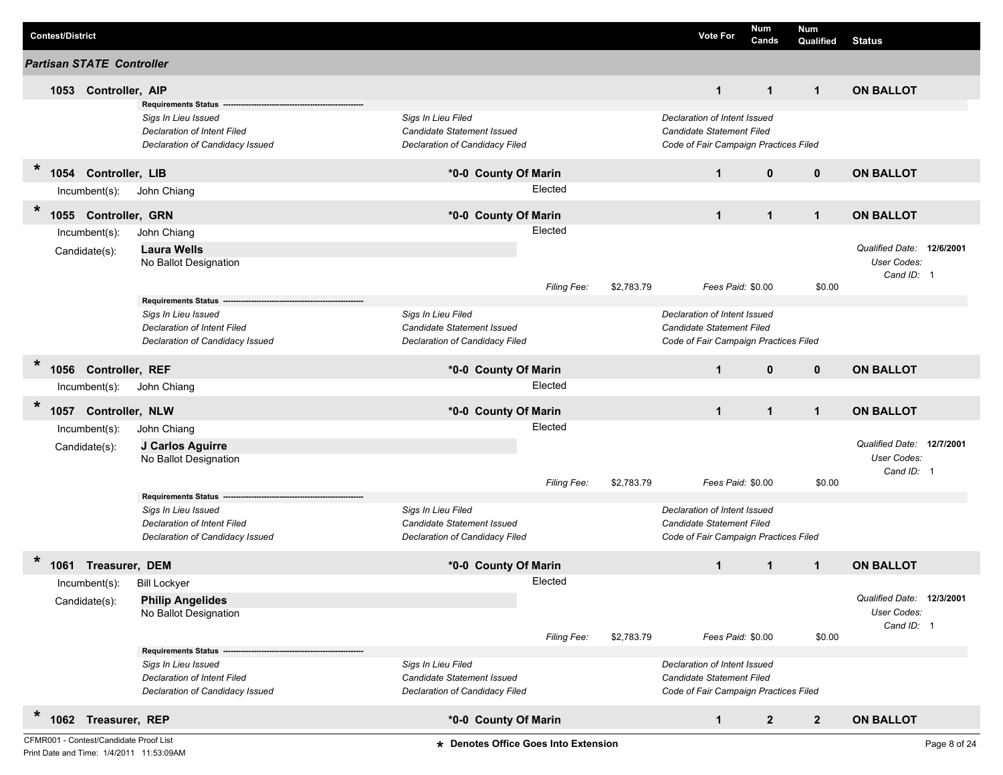| <b>Contest/District</b>                   |                                                                                                                     |                                                                                    |             |            | <b>Vote For</b>                                                                                    | Num<br>Cands | <b>Num</b><br>Qualified | <b>Status</b>                                                 |  |
|-------------------------------------------|---------------------------------------------------------------------------------------------------------------------|------------------------------------------------------------------------------------|-------------|------------|----------------------------------------------------------------------------------------------------|--------------|-------------------------|---------------------------------------------------------------|--|
| <b>Partisan STATE Controller</b>          |                                                                                                                     |                                                                                    |             |            |                                                                                                    |              |                         |                                                               |  |
| 1053 Controller, AIP                      |                                                                                                                     |                                                                                    |             |            | $\mathbf{1}$                                                                                       | $\mathbf{1}$ | $\mathbf{1}$            | <b>ON BALLOT</b>                                              |  |
|                                           | <b>Requirements Status</b><br>Sigs In Lieu Issued<br>Declaration of Intent Filed<br>Declaration of Candidacy Issued | Sigs In Lieu Filed<br>Candidate Statement Issued<br>Declaration of Candidacy Filed |             |            | Declaration of Intent Issued<br>Candidate Statement Filed<br>Code of Fair Campaign Practices Filed |              |                         |                                                               |  |
| $\star$<br>1054<br><b>Controller, LIB</b> |                                                                                                                     | *0-0 County Of Marin                                                               |             |            | $\mathbf{1}$                                                                                       | $\mathbf{0}$ | $\mathbf 0$             | <b>ON BALLOT</b>                                              |  |
| $Incumbent(s)$ :                          | John Chiang                                                                                                         |                                                                                    | Elected     |            |                                                                                                    |              |                         |                                                               |  |
| $\star$<br>1055 Controller, GRN           |                                                                                                                     | *0-0 County Of Marin                                                               |             |            | $\mathbf{1}$                                                                                       | $\mathbf{1}$ | $\mathbf{1}$            | <b>ON BALLOT</b>                                              |  |
| Incumbent(s):                             | John Chiang                                                                                                         |                                                                                    | Elected     |            |                                                                                                    |              |                         |                                                               |  |
| Candidate(s):                             | <b>Laura Wells</b><br>No Ballot Designation                                                                         |                                                                                    |             |            |                                                                                                    |              |                         | Qualified Date: 12/6/2001<br><b>User Codes:</b><br>Cand ID: 1 |  |
|                                           | <b>Requirements Status</b>                                                                                          |                                                                                    | Filing Fee: | \$2,783.79 | Fees Paid: \$0.00                                                                                  |              | \$0.00                  |                                                               |  |
|                                           | Sigs In Lieu Issued<br>Declaration of Intent Filed<br>Declaration of Candidacy Issued                               | Sigs In Lieu Filed<br>Candidate Statement Issued<br>Declaration of Candidacy Filed |             |            | Declaration of Intent Issued<br>Candidate Statement Filed<br>Code of Fair Campaign Practices Filed |              |                         |                                                               |  |
| $\star$<br>1056<br>Controller, REF        |                                                                                                                     | *0-0 County Of Marin                                                               |             |            | $\mathbf{1}$                                                                                       | $\mathbf{0}$ | $\mathbf{0}$            | <b>ON BALLOT</b>                                              |  |
| $Incumbent(s)$ :                          | John Chiang                                                                                                         |                                                                                    | Elected     |            |                                                                                                    |              |                         |                                                               |  |
| $\ast$<br>1057 Controller, NLW            |                                                                                                                     | *0-0 County Of Marin                                                               |             |            | $\mathbf{1}$                                                                                       | $\mathbf{1}$ | $\blacktriangleleft$    | <b>ON BALLOT</b>                                              |  |
| Incumbent(s):                             | John Chiang                                                                                                         |                                                                                    | Elected     |            |                                                                                                    |              |                         |                                                               |  |
| Candidate(s):                             | J Carlos Aguirre<br>No Ballot Designation                                                                           |                                                                                    |             |            |                                                                                                    |              |                         | Qualified Date: 12/7/2001<br>User Codes:<br>Cand ID: 1        |  |
|                                           |                                                                                                                     |                                                                                    | Filing Fee: | \$2,783.79 | Fees Paid: \$0.00                                                                                  |              | \$0.00                  |                                                               |  |
|                                           | <b>Requirements Status</b><br>Sigs In Lieu Issued<br>Declaration of Intent Filed<br>Declaration of Candidacy Issued | Sigs In Lieu Filed<br>Candidate Statement Issued<br>Declaration of Candidacy Filed |             |            | Declaration of Intent Issued<br>Candidate Statement Filed<br>Code of Fair Campaign Practices Filed |              |                         |                                                               |  |
| $\ast$<br>1061 Treasurer, DEM             |                                                                                                                     | *0-0 County Of Marin                                                               |             |            | $\mathbf{1}$                                                                                       | $\mathbf{1}$ | $\mathbf{1}$            | <b>ON BALLOT</b>                                              |  |
| Incumbent(s):                             | <b>Bill Lockyer</b>                                                                                                 |                                                                                    | Elected     |            |                                                                                                    |              |                         |                                                               |  |
| Candidate(s):                             | <b>Philip Angelides</b><br>No Ballot Designation                                                                    |                                                                                    |             |            |                                                                                                    |              |                         | Qualified Date: 12/3/2001<br>User Codes:<br>Cand ID: 1        |  |
|                                           |                                                                                                                     |                                                                                    | Filing Fee: | \$2,783.79 | Fees Paid: \$0.00                                                                                  |              | \$0.00                  |                                                               |  |
|                                           | <b>Requirements Status</b><br>Sigs In Lieu Issued<br>Declaration of Intent Filed<br>Declaration of Candidacy Issued | Sigs In Lieu Filed<br>Candidate Statement Issued<br>Declaration of Candidacy Filed |             |            | Declaration of Intent Issued<br>Candidate Statement Filed<br>Code of Fair Campaign Practices Filed |              |                         |                                                               |  |
| $\ast$<br>1062 Treasurer, REP             |                                                                                                                     | *0-0 County Of Marin                                                               |             |            | $\mathbf{1}$                                                                                       | $\mathbf{2}$ | $\overline{2}$          | <b>ON BALLOT</b>                                              |  |

Print Date and Time: 1/4/2011 11:53:09AM

CFMR001 - Contest/Candidate Proof List **Denotes Office Goes Into Extension** Page 8 of 24 **\***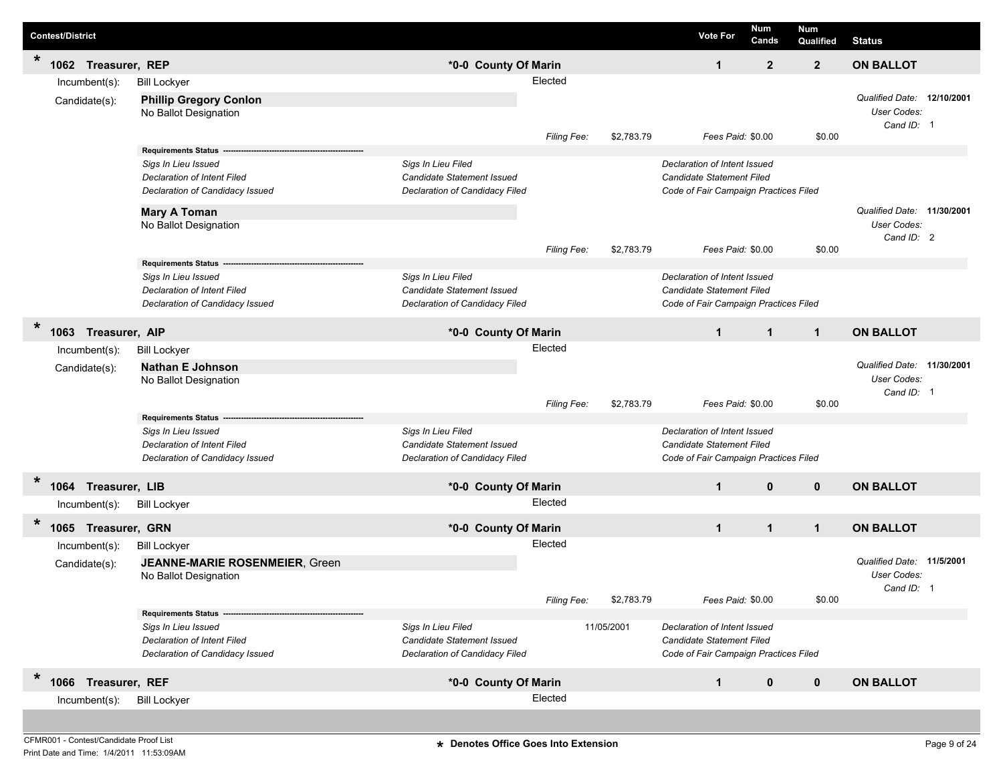|         | <b>Contest/District</b> |                                                                                                                                       |                                                                                    |                    |            | <b>Vote For</b>                                                                                    | Num<br>Cands   | Num<br>Qualified | <b>Status</b>                                           |           |
|---------|-------------------------|---------------------------------------------------------------------------------------------------------------------------------------|------------------------------------------------------------------------------------|--------------------|------------|----------------------------------------------------------------------------------------------------|----------------|------------------|---------------------------------------------------------|-----------|
| $\star$ | 1062 Treasurer, REP     |                                                                                                                                       | *0-0 County Of Marin                                                               |                    |            | $\mathbf{1}$                                                                                       | $\overline{2}$ | $\overline{2}$   | <b>ON BALLOT</b>                                        |           |
|         | Incumbent(s):           | <b>Bill Lockyer</b>                                                                                                                   |                                                                                    | Elected            |            |                                                                                                    |                |                  |                                                         |           |
|         | Candidate(s):           | <b>Phillip Gregory Conlon</b><br>No Ballot Designation                                                                                |                                                                                    |                    |            |                                                                                                    |                |                  | Qualified Date: 12/10/2001<br>User Codes:<br>Cand ID: 1 |           |
|         |                         |                                                                                                                                       |                                                                                    | Filing Fee:        | \$2,783.79 | Fees Paid: \$0.00                                                                                  |                | \$0.00           |                                                         |           |
|         |                         | Requirements Status -<br>Sigs In Lieu Issued<br>Declaration of Intent Filed<br>Declaration of Candidacy Issued<br><b>Mary A Toman</b> | Sigs In Lieu Filed<br>Candidate Statement Issued<br>Declaration of Candidacy Filed |                    |            | Declaration of Intent Issued<br>Candidate Statement Filed<br>Code of Fair Campaign Practices Filed |                |                  | Qualified Date: 11/30/2001                              |           |
|         |                         | No Ballot Designation                                                                                                                 |                                                                                    |                    |            |                                                                                                    |                |                  | User Codes:                                             |           |
|         |                         |                                                                                                                                       |                                                                                    | Filing Fee:        | \$2,783.79 | Fees Paid: \$0.00                                                                                  |                | \$0.00           | Cand ID: 2                                              |           |
|         |                         | <b>Requirements Status</b>                                                                                                            |                                                                                    |                    |            |                                                                                                    |                |                  |                                                         |           |
|         |                         | Sigs In Lieu Issued                                                                                                                   | Sigs In Lieu Filed                                                                 |                    |            | Declaration of Intent Issued                                                                       |                |                  |                                                         |           |
|         |                         | Declaration of Intent Filed                                                                                                           | Candidate Statement Issued                                                         |                    |            | Candidate Statement Filed                                                                          |                |                  |                                                         |           |
|         |                         | Declaration of Candidacy Issued                                                                                                       | Declaration of Candidacy Filed                                                     |                    |            | Code of Fair Campaign Practices Filed                                                              |                |                  |                                                         |           |
| *       | 1063 Treasurer, AIP     |                                                                                                                                       | *0-0 County Of Marin                                                               |                    |            | $\mathbf{1}$                                                                                       | $\mathbf{1}$   | $\mathbf{1}$     | <b>ON BALLOT</b>                                        |           |
|         | Incumbent(s):           | <b>Bill Lockyer</b>                                                                                                                   |                                                                                    | Elected            |            |                                                                                                    |                |                  |                                                         |           |
|         | Candidate(s):           | <b>Nathan E Johnson</b><br>No Ballot Designation                                                                                      |                                                                                    |                    |            |                                                                                                    |                |                  | Qualified Date: 11/30/2001<br>User Codes:<br>Cand ID: 1 |           |
|         |                         | <b>Requirements Status</b>                                                                                                            |                                                                                    | Filing Fee:        | \$2,783.79 | Fees Paid: \$0.00                                                                                  |                | \$0.00           |                                                         |           |
|         |                         | Sigs In Lieu Issued                                                                                                                   | Sigs In Lieu Filed                                                                 |                    |            | Declaration of Intent Issued                                                                       |                |                  |                                                         |           |
|         |                         | Declaration of Intent Filed                                                                                                           | Candidate Statement Issued                                                         |                    |            | Candidate Statement Filed                                                                          |                |                  |                                                         |           |
|         |                         | Declaration of Candidacy Issued                                                                                                       | Declaration of Candidacy Filed                                                     |                    |            | Code of Fair Campaign Practices Filed                                                              |                |                  |                                                         |           |
| $\ast$  | 1064 Treasurer, LIB     |                                                                                                                                       | *0-0 County Of Marin                                                               |                    |            | $\mathbf{1}$                                                                                       | $\mathbf{0}$   | $\mathbf{0}$     | <b>ON BALLOT</b>                                        |           |
|         | Incumbent(s):           | <b>Bill Lockyer</b>                                                                                                                   |                                                                                    | Elected            |            |                                                                                                    |                |                  |                                                         |           |
| $\star$ |                         |                                                                                                                                       |                                                                                    |                    |            |                                                                                                    |                |                  |                                                         |           |
|         | 1065 Treasurer, GRN     |                                                                                                                                       | *0-0 County Of Marin                                                               |                    |            | $\mathbf{1}$                                                                                       | $\mathbf{1}$   | $\mathbf{1}$     | <b>ON BALLOT</b>                                        |           |
|         | Incumbent(s):           | <b>Bill Lockyer</b>                                                                                                                   |                                                                                    | Elected            |            |                                                                                                    |                |                  |                                                         |           |
|         | Candidate(s):           | <b>JEANNE-MARIE ROSENMEIER, Green</b><br>No Ballot Designation                                                                        |                                                                                    |                    |            |                                                                                                    |                |                  | Qualified Date:<br><b>User Codes:</b><br>Cand ID: 1     | 11/5/2001 |
|         |                         |                                                                                                                                       |                                                                                    | <b>Filing Fee:</b> | \$2,783.79 | Fees Paid: \$0.00                                                                                  |                | \$0.00           |                                                         |           |
|         |                         | <b>Requirements Status -</b>                                                                                                          |                                                                                    |                    |            |                                                                                                    |                |                  |                                                         |           |
|         |                         | Sigs In Lieu Issued                                                                                                                   | Sigs In Lieu Filed                                                                 |                    | 11/05/2001 | Declaration of Intent Issued                                                                       |                |                  |                                                         |           |
|         |                         | Declaration of Intent Filed<br>Declaration of Candidacy Issued                                                                        | Candidate Statement Issued<br>Declaration of Candidacy Filed                       |                    |            | Candidate Statement Filed<br>Code of Fair Campaign Practices Filed                                 |                |                  |                                                         |           |
|         |                         |                                                                                                                                       |                                                                                    |                    |            |                                                                                                    |                |                  |                                                         |           |
| $\star$ | 1066 Treasurer, REF     |                                                                                                                                       | *0-0 County Of Marin                                                               |                    |            | $\mathbf{1}$                                                                                       | $\mathbf 0$    | $\mathbf 0$      | <b>ON BALLOT</b>                                        |           |
|         | $Incumbent(s)$ :        | <b>Bill Lockyer</b>                                                                                                                   |                                                                                    | Elected            |            |                                                                                                    |                |                  |                                                         |           |
|         |                         |                                                                                                                                       |                                                                                    |                    |            |                                                                                                    |                |                  |                                                         |           |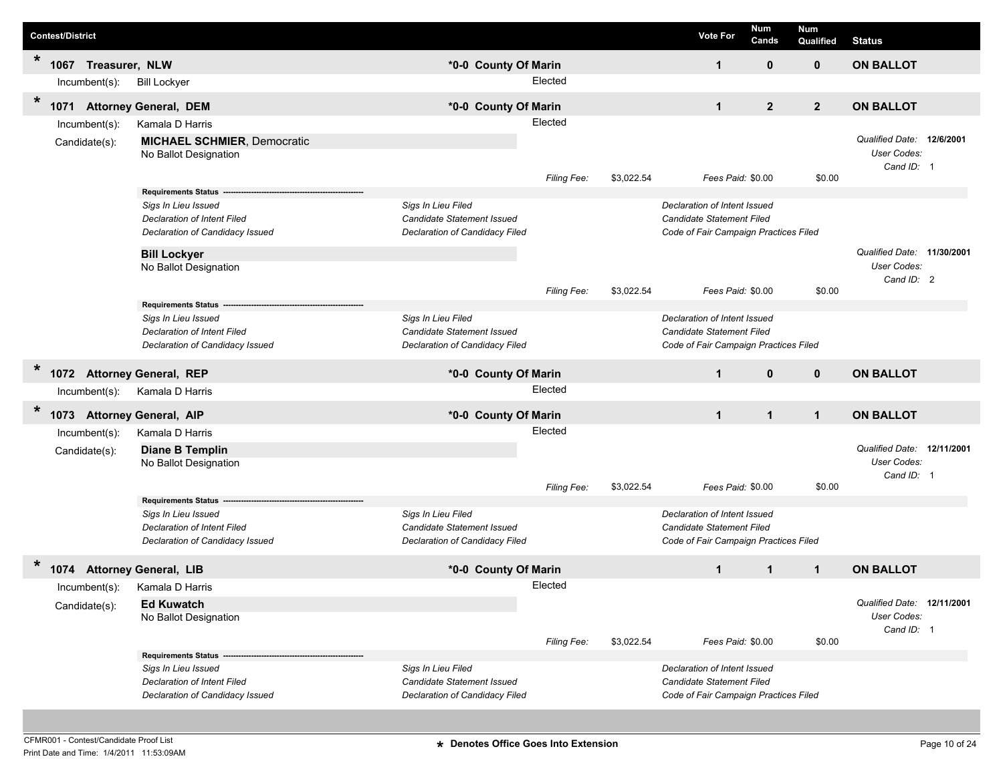|        | <b>Contest/District</b> |                |                                                                                              |                                                                                    |             |            | <b>Vote For</b>                                                                                    | Num<br>Cands   | <b>Num</b><br>Qualified | <b>Status</b>                                           |  |
|--------|-------------------------|----------------|----------------------------------------------------------------------------------------------|------------------------------------------------------------------------------------|-------------|------------|----------------------------------------------------------------------------------------------------|----------------|-------------------------|---------------------------------------------------------|--|
| $\ast$ | 1067                    | Treasurer, NLW |                                                                                              | *0-0 County Of Marin                                                               |             |            | $\mathbf{1}$                                                                                       | $\mathbf 0$    | $\mathbf{0}$            | <b>ON BALLOT</b>                                        |  |
|        |                         | Incumbent(s):  | <b>Bill Lockyer</b>                                                                          |                                                                                    | Elected     |            |                                                                                                    |                |                         |                                                         |  |
| $\ast$ | 1071                    |                | <b>Attorney General, DEM</b>                                                                 | *0-0 County Of Marin                                                               |             |            | $\mathbf 1$                                                                                        | $\overline{2}$ | $\overline{2}$          | <b>ON BALLOT</b>                                        |  |
|        |                         | Incumbent(s):  | Kamala D Harris                                                                              |                                                                                    | Elected     |            |                                                                                                    |                |                         |                                                         |  |
|        |                         | Candidate(s):  | <b>MICHAEL SCHMIER, Democratic</b><br>No Ballot Designation                                  |                                                                                    |             |            |                                                                                                    |                |                         | Qualified Date: 12/6/2001<br>User Codes:<br>Cand ID: 1  |  |
|        |                         |                | <b>Requirements Status</b>                                                                   |                                                                                    | Filing Fee: | \$3,022.54 | Fees Paid: \$0.00                                                                                  |                | \$0.00                  |                                                         |  |
|        |                         |                | Sigs In Lieu Issued<br><b>Declaration of Intent Filed</b><br>Declaration of Candidacy Issued | Sigs In Lieu Filed<br>Candidate Statement Issued<br>Declaration of Candidacy Filed |             |            | Declaration of Intent Issued<br>Candidate Statement Filed<br>Code of Fair Campaign Practices Filed |                |                         | Qualified Date: 11/30/2001                              |  |
|        |                         |                | <b>Bill Lockyer</b><br>No Ballot Designation                                                 |                                                                                    |             |            |                                                                                                    |                |                         | User Codes:                                             |  |
|        |                         |                |                                                                                              |                                                                                    | Filing Fee: | \$3,022.54 | Fees Paid: \$0.00                                                                                  |                | \$0.00                  | Cand ID: 2                                              |  |
|        |                         |                | <b>Requirements Status</b>                                                                   |                                                                                    |             |            |                                                                                                    |                |                         |                                                         |  |
|        |                         |                | Sigs In Lieu Issued<br>Declaration of Intent Filed                                           | Sigs In Lieu Filed<br>Candidate Statement Issued                                   |             |            | Declaration of Intent Issued<br><b>Candidate Statement Filed</b>                                   |                |                         |                                                         |  |
|        |                         |                | Declaration of Candidacy Issued                                                              | Declaration of Candidacy Filed                                                     |             |            | Code of Fair Campaign Practices Filed                                                              |                |                         |                                                         |  |
| $\ast$ |                         |                |                                                                                              |                                                                                    |             |            |                                                                                                    |                |                         |                                                         |  |
|        | 1072                    |                | <b>Attorney General, REP</b>                                                                 | *0-0 County Of Marin                                                               | Elected     |            | $\mathbf{1}$                                                                                       | $\mathbf{0}$   | $\mathbf{0}$            | <b>ON BALLOT</b>                                        |  |
|        |                         | Incumbent(s):  | Kamala D Harris                                                                              |                                                                                    |             |            |                                                                                                    |                |                         |                                                         |  |
| $\ast$ | 1073                    |                | <b>Attorney General, AIP</b>                                                                 | *0-0 County Of Marin                                                               |             |            | $\mathbf{1}$                                                                                       | $\mathbf{1}$   | $\mathbf{1}$            | <b>ON BALLOT</b>                                        |  |
|        |                         | Incumbent(s):  | Kamala D Harris                                                                              |                                                                                    | Elected     |            |                                                                                                    |                |                         |                                                         |  |
|        |                         | Candidate(s):  | <b>Diane B Templin</b><br>No Ballot Designation                                              |                                                                                    | Filing Fee: | \$3,022.54 | Fees Paid: \$0.00                                                                                  |                | \$0.00                  | Qualified Date: 12/11/2001<br>User Codes:<br>Cand ID: 1 |  |
|        |                         |                | <b>Requirements Status</b>                                                                   |                                                                                    |             |            |                                                                                                    |                |                         |                                                         |  |
|        |                         |                | Sigs In Lieu Issued<br><b>Declaration of Intent Filed</b><br>Declaration of Candidacy Issued | Sigs In Lieu Filed<br>Candidate Statement Issued<br>Declaration of Candidacy Filed |             |            | Declaration of Intent Issued<br>Candidate Statement Filed<br>Code of Fair Campaign Practices Filed |                |                         |                                                         |  |
| $\ast$ |                         |                | 1074 Attorney General, LIB                                                                   | *0-0 County Of Marin                                                               |             |            | $\mathbf 1$                                                                                        | $\mathbf{1}$   | $\mathbf{1}$            | <b>ON BALLOT</b>                                        |  |
|        |                         |                | Incumbent(s): Kamala D Harris                                                                |                                                                                    | Elected     |            |                                                                                                    |                |                         |                                                         |  |
|        |                         | Candidate(s):  | <b>Ed Kuwatch</b><br>No Ballot Designation                                                   |                                                                                    |             |            |                                                                                                    |                |                         | Qualified Date: 12/11/2001<br>User Codes:<br>Cand ID: 1 |  |
|        |                         |                |                                                                                              |                                                                                    | Filing Fee: | \$3,022.54 | Fees Paid: \$0.00                                                                                  |                | \$0.00                  |                                                         |  |
|        |                         |                | Requirements Status ---<br>Sigs In Lieu Issued<br>Declaration of Intent Filed                | Sigs In Lieu Filed<br>Candidate Statement Issued                                   |             |            | Declaration of Intent Issued<br>Candidate Statement Filed                                          |                |                         |                                                         |  |
|        |                         |                | Declaration of Candidacy Issued                                                              | Declaration of Candidacy Filed                                                     |             |            | Code of Fair Campaign Practices Filed                                                              |                |                         |                                                         |  |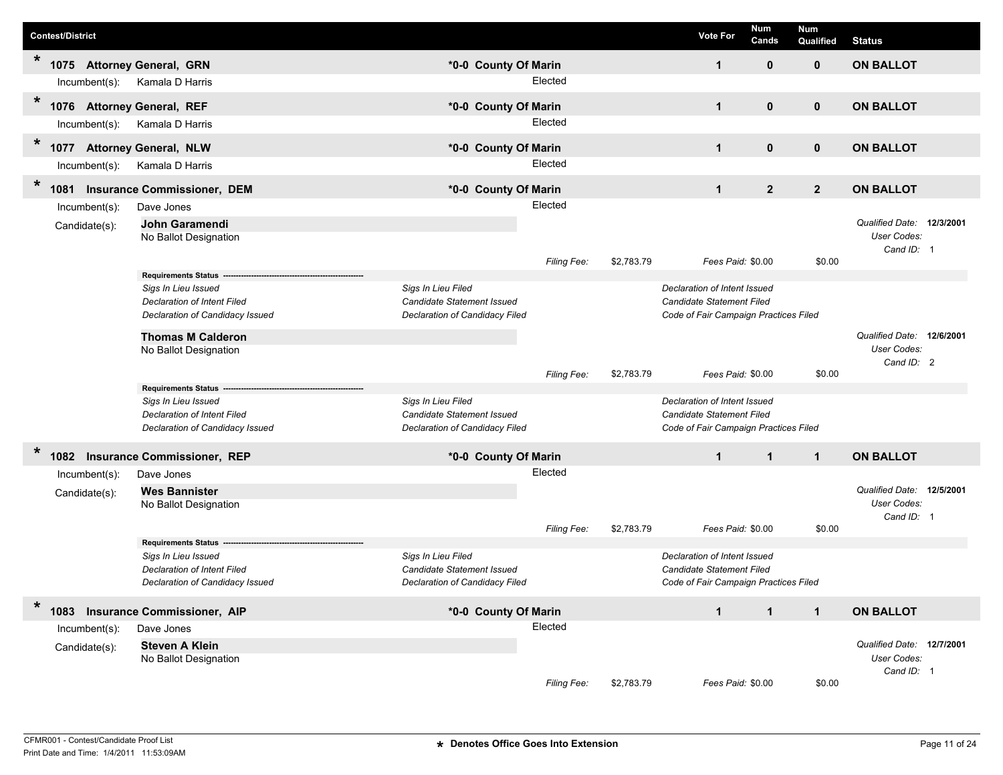|         | <b>Contest/District</b> |                  |                                                                       |                                                              |             |            | <b>Vote For</b>                                                           | Num<br>Cands   | <b>Num</b><br>Qualified | <b>Status</b>                                          |  |
|---------|-------------------------|------------------|-----------------------------------------------------------------------|--------------------------------------------------------------|-------------|------------|---------------------------------------------------------------------------|----------------|-------------------------|--------------------------------------------------------|--|
| $\star$ |                         |                  | 1075 Attorney General, GRN                                            | *0-0 County Of Marin                                         |             |            | $\mathbf 1$                                                               | $\mathbf{0}$   | $\mathbf 0$             | <b>ON BALLOT</b>                                       |  |
|         |                         | Incumbent(s):    | Kamala D Harris                                                       |                                                              | Elected     |            |                                                                           |                |                         |                                                        |  |
| $\ast$  | 1076                    |                  | <b>Attorney General, REF</b>                                          | *0-0 County Of Marin                                         |             |            | $\mathbf 1$                                                               | 0              | $\mathbf 0$             | <b>ON BALLOT</b>                                       |  |
|         |                         | Incumbent(s):    | Kamala D Harris                                                       |                                                              | Elected     |            |                                                                           |                |                         |                                                        |  |
| $\ast$  | 1077                    |                  | <b>Attorney General, NLW</b>                                          | *0-0 County Of Marin                                         |             |            | $\mathbf{1}$                                                              | $\mathbf{0}$   | $\mathbf{0}$            | <b>ON BALLOT</b>                                       |  |
|         |                         | Incumbent(s):    | Kamala D Harris                                                       |                                                              | Elected     |            |                                                                           |                |                         |                                                        |  |
| $\star$ | 1081                    |                  | <b>Insurance Commissioner, DEM</b>                                    | *0-0 County Of Marin                                         |             |            | $\mathbf{1}$                                                              | $\overline{2}$ | $\overline{2}$          | <b>ON BALLOT</b>                                       |  |
|         |                         | $Incumbent(s)$ : | Dave Jones                                                            |                                                              | Elected     |            |                                                                           |                |                         |                                                        |  |
|         |                         | Candidate(s):    | John Garamendi<br>No Ballot Designation                               |                                                              |             |            |                                                                           |                |                         | Qualified Date: 12/3/2001<br>User Codes:<br>Cand ID: 1 |  |
|         |                         |                  |                                                                       |                                                              | Filing Fee: | \$2,783.79 | Fees Paid: \$0.00                                                         |                | \$0.00                  |                                                        |  |
|         |                         |                  | <b>Requirements Status</b><br>Sigs In Lieu Issued                     | Sigs In Lieu Filed                                           |             |            | Declaration of Intent Issued                                              |                |                         |                                                        |  |
|         |                         |                  | <b>Declaration of Intent Filed</b>                                    | Candidate Statement Issued                                   |             |            | <b>Candidate Statement Filed</b>                                          |                |                         |                                                        |  |
|         |                         |                  | Declaration of Candidacy Issued                                       | Declaration of Candidacy Filed                               |             |            | Code of Fair Campaign Practices Filed                                     |                |                         |                                                        |  |
|         |                         |                  | <b>Thomas M Calderon</b>                                              |                                                              |             |            |                                                                           |                |                         | Qualified Date: 12/6/2001                              |  |
|         |                         |                  | No Ballot Designation                                                 |                                                              |             |            |                                                                           |                |                         | User Codes:                                            |  |
|         |                         |                  |                                                                       |                                                              | Filing Fee: | \$2,783.79 | Fees Paid: \$0.00                                                         |                | \$0.00                  | Cand ID: 2                                             |  |
|         |                         |                  | <b>Requirements Status</b>                                            |                                                              |             |            |                                                                           |                |                         |                                                        |  |
|         |                         |                  | Sigs In Lieu Issued                                                   | Sigs In Lieu Filed                                           |             |            | Declaration of Intent Issued                                              |                |                         |                                                        |  |
|         |                         |                  | <b>Declaration of Intent Filed</b><br>Declaration of Candidacy Issued | Candidate Statement Issued<br>Declaration of Candidacy Filed |             |            | <b>Candidate Statement Filed</b><br>Code of Fair Campaign Practices Filed |                |                         |                                                        |  |
|         |                         |                  |                                                                       |                                                              |             |            |                                                                           |                |                         |                                                        |  |
| $\ast$  |                         |                  | 1082 Insurance Commissioner, REP                                      | *0-0 County Of Marin                                         |             |            | $\mathbf{1}$                                                              | $\mathbf{1}$   | $\mathbf{1}$            | <b>ON BALLOT</b>                                       |  |
|         |                         | $Incumbent(s)$ : | Dave Jones                                                            |                                                              | Elected     |            |                                                                           |                |                         |                                                        |  |
|         |                         | Candidate(s):    | <b>Wes Bannister</b>                                                  |                                                              |             |            |                                                                           |                |                         | Qualified Date: 12/5/2001                              |  |
|         |                         |                  | No Ballot Designation                                                 |                                                              |             |            |                                                                           |                |                         | User Codes:<br>Cand ID: 1                              |  |
|         |                         |                  |                                                                       |                                                              | Filing Fee: | \$2,783.79 | Fees Paid: \$0.00                                                         |                | \$0.00                  |                                                        |  |
|         |                         |                  | <b>Requirements Status</b>                                            |                                                              |             |            |                                                                           |                |                         |                                                        |  |
|         |                         |                  | Sigs In Lieu Issued                                                   | Sigs In Lieu Filed                                           |             |            | Declaration of Intent Issued                                              |                |                         |                                                        |  |
|         |                         |                  | <b>Declaration of Intent Filed</b>                                    | Candidate Statement Issued                                   |             |            | <b>Candidate Statement Filed</b>                                          |                |                         |                                                        |  |
|         |                         |                  | Declaration of Candidacy Issued                                       | Declaration of Candidacy Filed                               |             |            | Code of Fair Campaign Practices Filed                                     |                |                         |                                                        |  |
| $\ast$  | 1083                    |                  | <b>Insurance Commissioner, AIP</b>                                    | *0-0 County Of Marin                                         |             |            | $\mathbf{1}$                                                              | $\mathbf{1}$   | $\mathbf{1}$            | <b>ON BALLOT</b>                                       |  |
|         |                         | Incumbent(s):    | Dave Jones                                                            |                                                              | Elected     |            |                                                                           |                |                         |                                                        |  |
|         |                         | Candidate(s):    | <b>Steven A Klein</b>                                                 |                                                              |             |            |                                                                           |                |                         | Qualified Date: 12/7/2001                              |  |
|         |                         |                  | No Ballot Designation                                                 |                                                              |             |            |                                                                           |                |                         | User Codes:                                            |  |
|         |                         |                  |                                                                       |                                                              | Filing Fee: | \$2,783.79 | Fees Paid: \$0.00                                                         |                | \$0.00                  | Cand ID: 1                                             |  |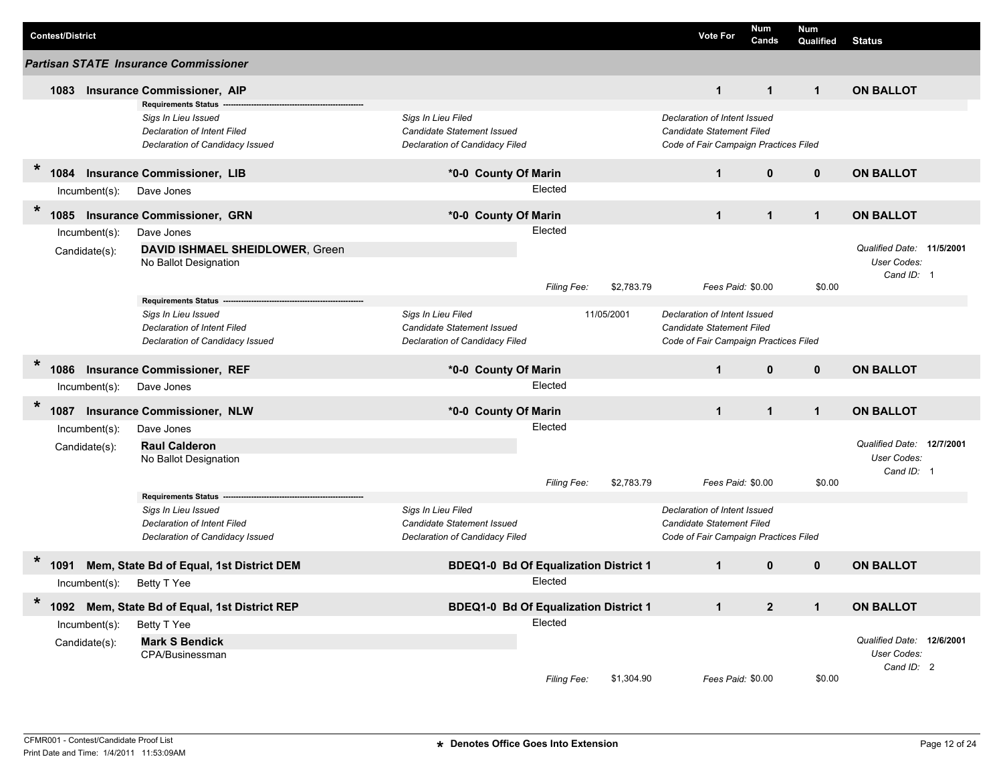| <b>Partisan STATE Insurance Commissioner</b><br>$\mathbf{1}$<br><b>Insurance Commissioner, AIP</b><br>$\mathbf{1}$<br>$\mathbf{1}$<br>1083<br><b>Requirements Status</b><br>Sigs In Lieu Filed<br>Declaration of Intent Issued<br>Sigs In Lieu Issued<br>Declaration of Intent Filed<br>Candidate Statement Issued<br>Candidate Statement Filed<br>Declaration of Candidacy Issued<br>Declaration of Candidacy Filed<br>Code of Fair Campaign Practices Filed | <b>ON BALLOT</b>                                       |
|---------------------------------------------------------------------------------------------------------------------------------------------------------------------------------------------------------------------------------------------------------------------------------------------------------------------------------------------------------------------------------------------------------------------------------------------------------------|--------------------------------------------------------|
|                                                                                                                                                                                                                                                                                                                                                                                                                                                               |                                                        |
|                                                                                                                                                                                                                                                                                                                                                                                                                                                               |                                                        |
|                                                                                                                                                                                                                                                                                                                                                                                                                                                               |                                                        |
| $\ast$<br><b>Insurance Commissioner, LIB</b><br>$\mathbf{1}$<br>$\mathbf{0}$<br>$\mathbf 0$<br>1084<br>*0-0 County Of Marin<br>Elected<br>Dave Jones<br>$Incumbent(s)$ :                                                                                                                                                                                                                                                                                      | <b>ON BALLOT</b>                                       |
| $\ast$<br><b>Insurance Commissioner, GRN</b><br>*0-0 County Of Marin<br>$\mathbf{1}$<br>$\mathbf{1}$<br>$\mathbf{1}$<br>1085                                                                                                                                                                                                                                                                                                                                  | <b>ON BALLOT</b>                                       |
| Elected<br>Dave Jones<br>$Incumbent(s)$ :<br>DAVID ISHMAEL SHEIDLOWER, Green<br>Candidate(s):<br>No Ballot Designation                                                                                                                                                                                                                                                                                                                                        | Qualified Date: 11/5/2001<br>User Codes:<br>Cand ID: 1 |
| Filing Fee:<br>\$2,783.79<br>Fees Paid: \$0.00<br>\$0.00<br><b>Requirements Status --</b>                                                                                                                                                                                                                                                                                                                                                                     |                                                        |
| Sigs In Lieu Filed<br>11/05/2001<br>Declaration of Intent Issued<br>Sigs In Lieu Issued<br><b>Declaration of Intent Filed</b><br>Candidate Statement Issued<br>Candidate Statement Filed<br>Declaration of Candidacy Filed<br>Code of Fair Campaign Practices Filed<br>Declaration of Candidacy Issued                                                                                                                                                        |                                                        |
| $\ast$<br>1086<br><b>Insurance Commissioner, REF</b><br>*0-0 County Of Marin<br>$\mathbf{1}$<br>$\mathbf{0}$<br>$\mathbf{0}$                                                                                                                                                                                                                                                                                                                                  | <b>ON BALLOT</b>                                       |
| Elected<br>Dave Jones<br>$Incumbent(s)$ :                                                                                                                                                                                                                                                                                                                                                                                                                     |                                                        |
| $\ast$<br>$\mathbf{1}$<br><b>Insurance Commissioner, NLW</b><br>*0-0 County Of Marin<br>$\mathbf{1}$<br>$\mathbf{1}$<br>1087                                                                                                                                                                                                                                                                                                                                  | <b>ON BALLOT</b>                                       |
| Elected<br>Incumbent(s):<br>Dave Jones<br><b>Raul Calderon</b><br>Candidate(s):<br>No Ballot Designation                                                                                                                                                                                                                                                                                                                                                      | Qualified Date: 12/7/2001<br>User Codes:<br>Cand ID: 1 |
| \$2,783.79<br>\$0.00<br>Filing Fee:<br>Fees Paid: \$0.00                                                                                                                                                                                                                                                                                                                                                                                                      |                                                        |
| <b>Requirements Status</b><br>Sigs In Lieu Issued<br>Sigs In Lieu Filed<br>Declaration of Intent Issued<br>Candidate Statement Issued<br>Candidate Statement Filed<br>Declaration of Intent Filed<br>Declaration of Candidacy Issued<br>Declaration of Candidacy Filed<br>Code of Fair Campaign Practices Filed                                                                                                                                               |                                                        |
| $\ast$<br>Mem, State Bd of Equal, 1st District DEM<br>1091<br><b>BDEQ1-0 Bd Of Equalization District 1</b><br>$\mathbf{1}$<br>$\mathbf{0}$<br>$\mathbf{0}$                                                                                                                                                                                                                                                                                                    | <b>ON BALLOT</b>                                       |
| Elected<br>Incumbent(s): Betty T Yee                                                                                                                                                                                                                                                                                                                                                                                                                          |                                                        |
| $\ast$<br>1092 Mem, State Bd of Equal, 1st District REP<br>$\overline{2}$<br><b>BDEQ1-0 Bd Of Equalization District 1</b><br>$\mathbf{1}$<br>$\mathbf{1}$                                                                                                                                                                                                                                                                                                     | <b>ON BALLOT</b>                                       |
| Elected<br>Incumbent(s):<br>Betty T Yee<br><b>Mark S Bendick</b><br>Candidate(s):<br>CPA/Businessman<br>\$1,304.90<br>Filing Fee:<br>Fees Paid: \$0.00<br>\$0.00                                                                                                                                                                                                                                                                                              | Qualified Date: 12/6/2001<br>User Codes:<br>Cand ID: 2 |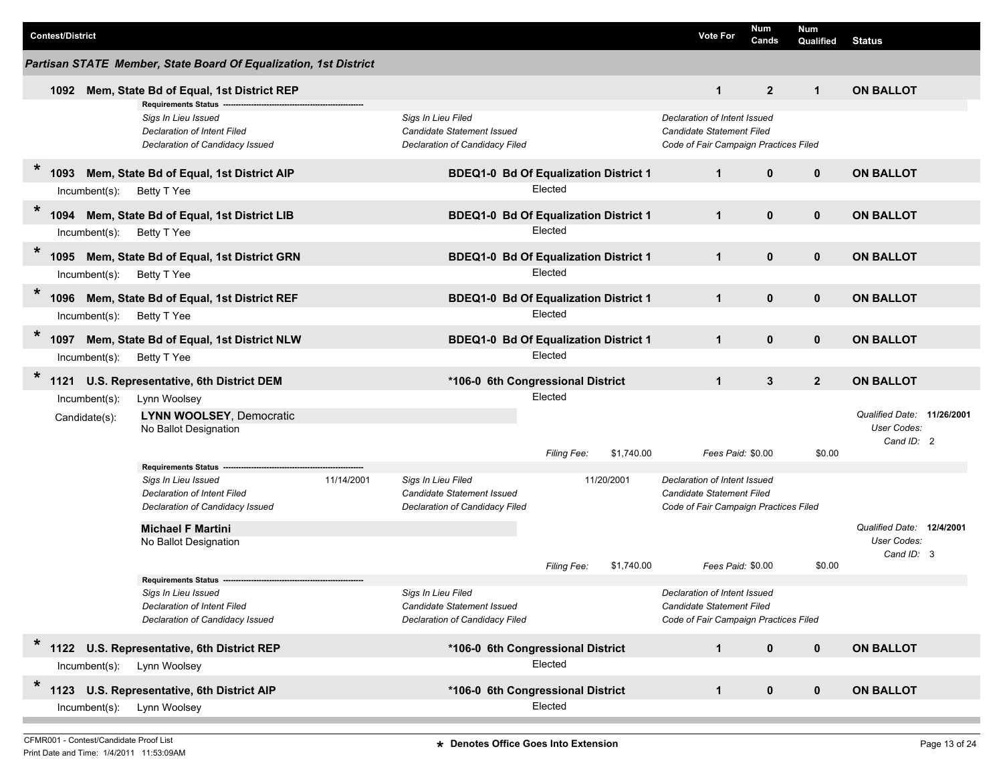| <b>Contest/District</b>                                                                                                                                                              |                                                                                                  | Num<br><b>Vote For</b><br>Cands                                                                    | <b>Num</b><br>Qualified | <b>Status</b>                                           |
|--------------------------------------------------------------------------------------------------------------------------------------------------------------------------------------|--------------------------------------------------------------------------------------------------|----------------------------------------------------------------------------------------------------|-------------------------|---------------------------------------------------------|
| Partisan STATE Member, State Board Of Equalization, 1st District                                                                                                                     |                                                                                                  |                                                                                                    |                         |                                                         |
| Mem, State Bd of Equal, 1st District REP<br>1092                                                                                                                                     |                                                                                                  | $\overline{2}$<br>$\mathbf{1}$                                                                     | $\mathbf{1}$            | <b>ON BALLOT</b>                                        |
| <b>Requirements Status</b><br>Sigs In Lieu Issued<br>Declaration of Intent Filed<br>Declaration of Candidacy Issued                                                                  | Sigs In Lieu Filed<br>Candidate Statement Issued<br>Declaration of Candidacy Filed               | Declaration of Intent Issued<br>Candidate Statement Filed<br>Code of Fair Campaign Practices Filed |                         |                                                         |
| $\ast$<br>Mem, State Bd of Equal, 1st District AIP<br>1093                                                                                                                           | <b>BDEQ1-0 Bd Of Equalization District 1</b>                                                     | $\mathbf{1}$<br>$\mathbf{0}$                                                                       | $\mathbf 0$             | <b>ON BALLOT</b>                                        |
| Incumbent(s):<br>Betty T Yee                                                                                                                                                         | Elected                                                                                          |                                                                                                    |                         |                                                         |
| $\ast$<br>1094<br>Mem, State Bd of Equal, 1st District LIB                                                                                                                           | <b>BDEQ1-0 Bd Of Equalization District 1</b>                                                     | $\mathbf{1}$<br>$\mathbf{0}$                                                                       | $\mathbf 0$             | <b>ON BALLOT</b>                                        |
| Incumbent(s):<br>Betty T Yee                                                                                                                                                         | Elected                                                                                          |                                                                                                    |                         |                                                         |
| $\ast$<br>Mem, State Bd of Equal, 1st District GRN<br>1095                                                                                                                           | <b>BDEQ1-0 Bd Of Equalization District 1</b>                                                     | $\mathbf{0}$<br>$\mathbf{1}$                                                                       | $\mathbf 0$             | <b>ON BALLOT</b>                                        |
| Betty T Yee<br>Incumbent(s):                                                                                                                                                         | Elected                                                                                          |                                                                                                    |                         |                                                         |
| $\ast$<br>Mem, State Bd of Equal, 1st District REF<br>1096                                                                                                                           | <b>BDEQ1-0 Bd Of Equalization District 1</b>                                                     | $\mathbf 0$<br>$\mathbf{1}$                                                                        | $\mathbf 0$             | <b>ON BALLOT</b>                                        |
| Incumbent(s):<br>Betty T Yee                                                                                                                                                         | Elected                                                                                          |                                                                                                    |                         |                                                         |
| $\ast$<br>Mem, State Bd of Equal, 1st District NLW<br>1097                                                                                                                           | <b>BDEQ1-0 Bd Of Equalization District 1</b>                                                     | $\mathbf{1}$<br>$\mathbf{0}$                                                                       | $\mathbf 0$             | <b>ON BALLOT</b>                                        |
| Incumbent(s):<br>Betty T Yee                                                                                                                                                         | Elected                                                                                          |                                                                                                    |                         |                                                         |
| 1121 U.S. Representative, 6th District DEM                                                                                                                                           | *106-0 6th Congressional District                                                                | $\mathbf{3}$<br>$\mathbf{1}$                                                                       | $\overline{2}$          | <b>ON BALLOT</b>                                        |
| Lynn Woolsey<br>$Incumbent(s)$ :<br>LYNN WOOLSEY, Democratic<br>Candidate(s):<br>No Ballot Designation                                                                               | Elected                                                                                          |                                                                                                    |                         | Qualified Date: 11/26/2001<br>User Codes:<br>Cand ID: 2 |
|                                                                                                                                                                                      | Filing Fee:<br>\$1,740.00                                                                        | Fees Paid: \$0.00                                                                                  | \$0.00                  |                                                         |
| Requirements Status ----<br>Sigs In Lieu Issued<br>11/14/2001<br>Declaration of Intent Filed<br>Declaration of Candidacy Issued<br><b>Michael F Martini</b><br>No Ballot Designation | Sigs In Lieu Filed<br>11/20/2001<br>Candidate Statement Issued<br>Declaration of Candidacy Filed | Declaration of Intent Issued<br>Candidate Statement Filed<br>Code of Fair Campaign Practices Filed |                         | Qualified Date: 12/4/2001<br>User Codes:<br>Cand ID: 3  |
|                                                                                                                                                                                      | <b>Filing Fee:</b><br>\$1,740.00                                                                 | Fees Paid: \$0.00                                                                                  | \$0.00                  |                                                         |
| <b>Requirements Status</b><br>Sigs In Lieu Issued<br>Declaration of Intent Filed<br>Declaration of Candidacy Issued                                                                  | Sigs In Lieu Filed<br>Candidate Statement Issued<br>Declaration of Candidacy Filed               | Declaration of Intent Issued<br>Candidate Statement Filed<br>Code of Fair Campaign Practices Filed |                         |                                                         |
| $\ast$<br>1122 U.S. Representative, 6th District REP                                                                                                                                 | *106-0 6th Congressional District                                                                | $\mathbf 0$<br>$\mathbf{1}$                                                                        | $\mathbf 0$             | <b>ON BALLOT</b>                                        |
| Lynn Woolsey<br>Incumbent(s):                                                                                                                                                        | Elected                                                                                          |                                                                                                    |                         |                                                         |
| $\ast$<br>1123 U.S. Representative, 6th District AIP                                                                                                                                 | *106-0 6th Congressional District                                                                | $\mathbf 0$<br>$\mathbf{1}$                                                                        | $\mathbf 0$             | <b>ON BALLOT</b>                                        |
| $Incumbent(s)$ :<br>Lynn Woolsey                                                                                                                                                     | Elected                                                                                          |                                                                                                    |                         |                                                         |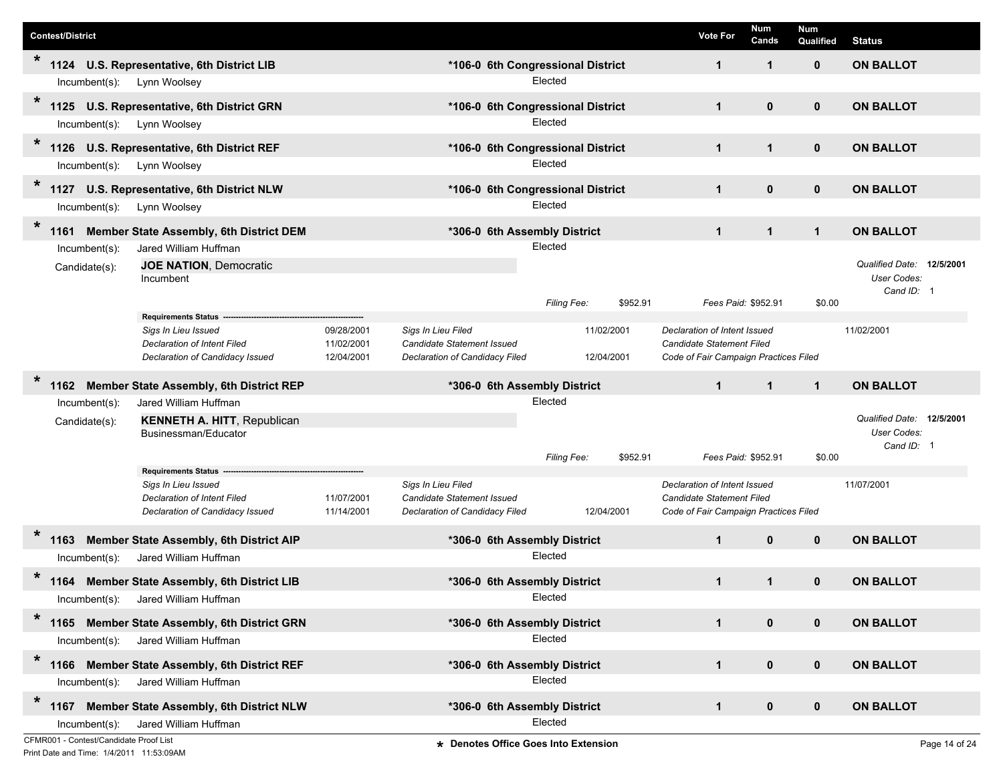|         | <b>Contest/District</b>                |                                                                         |                          |                                                         |                                      | <b>Vote For</b>                                           | Num<br>Cands | <b>Num</b><br>Qualified | <b>Status</b>             |               |
|---------|----------------------------------------|-------------------------------------------------------------------------|--------------------------|---------------------------------------------------------|--------------------------------------|-----------------------------------------------------------|--------------|-------------------------|---------------------------|---------------|
| $\ast$  |                                        | 1124 U.S. Representative, 6th District LIB                              |                          |                                                         | *106-0 6th Congressional District    | $\mathbf{1}$                                              | $\mathbf{1}$ | 0                       | <b>ON BALLOT</b>          |               |
|         | $lncumbent(s)$ :                       | Lynn Woolsey                                                            |                          |                                                         | Elected                              |                                                           |              |                         |                           |               |
| $\ast$  |                                        | 1125 U.S. Representative, 6th District GRN                              |                          |                                                         | *106-0 6th Congressional District    | $\mathbf{1}$                                              | $\mathbf{0}$ | $\mathbf 0$             | <b>ON BALLOT</b>          |               |
|         | Incumbent(s):                          | Lynn Woolsey                                                            |                          |                                                         | Elected                              |                                                           |              |                         |                           |               |
| *       | 1126                                   | U.S. Representative, 6th District REF                                   |                          |                                                         | *106-0 6th Congressional District    | $\mathbf{1}$                                              | $\mathbf{1}$ | 0                       | <b>ON BALLOT</b>          |               |
|         | Incumbent(s):                          | Lynn Woolsey                                                            |                          |                                                         | Elected                              |                                                           |              |                         |                           |               |
| $\star$ | 1127                                   | U.S. Representative, 6th District NLW                                   |                          |                                                         | *106-0 6th Congressional District    | $\mathbf{1}$                                              | $\mathbf 0$  | $\mathbf 0$             | <b>ON BALLOT</b>          |               |
|         | $Incumbent(s)$ :                       | Lynn Woolsey                                                            |                          |                                                         | Elected                              |                                                           |              |                         |                           |               |
| $\ast$  |                                        |                                                                         |                          |                                                         |                                      |                                                           |              |                         |                           |               |
|         | 1161                                   | Member State Assembly, 6th District DEM                                 |                          | *306-0 6th Assembly District                            | Elected                              | $\mathbf{1}$                                              | $\mathbf{1}$ | $\mathbf{1}$            | <b>ON BALLOT</b>          |               |
|         | Incumbent(s):                          | Jared William Huffman<br><b>JOE NATION, Democratic</b>                  |                          |                                                         |                                      |                                                           |              |                         | Qualified Date: 12/5/2001 |               |
|         | Candidate(s):                          | Incumbent                                                               |                          |                                                         |                                      |                                                           |              |                         | User Codes:               |               |
|         |                                        |                                                                         |                          |                                                         | \$952.91<br>Filing Fee:              | Fees Paid: \$952.91                                       |              | \$0.00                  | Cand ID: 1                |               |
|         |                                        | <b>Requirements Status</b>                                              |                          |                                                         |                                      |                                                           |              |                         |                           |               |
|         |                                        | Sigs In Lieu Issued<br>Declaration of Intent Filed                      | 09/28/2001<br>11/02/2001 | Sigs In Lieu Filed<br><b>Candidate Statement Issued</b> | 11/02/2001                           | Declaration of Intent Issued<br>Candidate Statement Filed |              |                         | 11/02/2001                |               |
|         |                                        | Declaration of Candidacy Issued                                         | 12/04/2001               | Declaration of Candidacy Filed                          | 12/04/2001                           | Code of Fair Campaign Practices Filed                     |              |                         |                           |               |
| *       |                                        |                                                                         |                          |                                                         |                                      |                                                           |              |                         |                           |               |
|         | 1162                                   | Member State Assembly, 6th District REP<br>Jared William Huffman        |                          | *306-0 6th Assembly District                            | Elected                              | $\mathbf{1}$                                              | $\mathbf{1}$ | $\mathbf{1}$            | <b>ON BALLOT</b>          |               |
|         | Incumbent(s):<br>Candidate(s):         | <b>KENNETH A. HITT, Republican</b>                                      |                          |                                                         |                                      |                                                           |              |                         | Qualified Date: 12/5/2001 |               |
|         |                                        | Businessman/Educator                                                    |                          |                                                         |                                      |                                                           |              |                         | User Codes:               |               |
|         |                                        |                                                                         |                          |                                                         | Filing Fee:<br>\$952.91              | Fees Paid: \$952.91                                       |              | \$0.00                  | Cand ID: 1                |               |
|         |                                        | Requirements Status --                                                  |                          |                                                         |                                      |                                                           |              |                         |                           |               |
|         |                                        | Sigs In Lieu Issued<br>Declaration of Intent Filed                      | 11/07/2001               | Sigs In Lieu Filed<br>Candidate Statement Issued        |                                      | Declaration of Intent Issued<br>Candidate Statement Filed |              |                         | 11/07/2001                |               |
|         |                                        | Declaration of Candidacy Issued                                         | 11/14/2001               | Declaration of Candidacy Filed                          | 12/04/2001                           | Code of Fair Campaign Practices Filed                     |              |                         |                           |               |
|         |                                        |                                                                         |                          |                                                         |                                      |                                                           |              |                         |                           |               |
|         | 1163<br>$Incumbent(s)$ :               | <b>Member State Assembly, 6th District AIP</b><br>Jared William Huffman |                          | *306-0 6th Assembly District                            | Elected                              | $\mathbf{1}$                                              | $\mathbf{0}$ | $\mathbf 0$             | <b>ON BALLOT</b>          |               |
| *       |                                        |                                                                         |                          |                                                         |                                      |                                                           |              |                         |                           |               |
|         | 1164                                   | Member State Assembly, 6th District LIB                                 |                          | *306-0_6th Assembly District                            | Elected                              | 1                                                         | 1            | 0                       | <b>ON BALLOT</b>          |               |
| $\star$ | $Incumbent(s)$ :                       | Jared William Huffman                                                   |                          |                                                         |                                      |                                                           |              |                         |                           |               |
|         | 1165                                   | <b>Member State Assembly, 6th District GRN</b>                          |                          | *306-0 6th Assembly District                            |                                      | $\mathbf{1}$                                              | $\mathbf 0$  | $\mathbf 0$             | <b>ON BALLOT</b>          |               |
|         |                                        | Incumbent(s): Jared William Huffman                                     |                          |                                                         | Elected                              |                                                           |              |                         |                           |               |
| $\star$ |                                        | 1166 Member State Assembly, 6th District REF                            |                          | *306-0 6th Assembly District                            |                                      | $\mathbf{1}$                                              | $\pmb{0}$    | $\mathbf 0$             | <b>ON BALLOT</b>          |               |
|         | Incumbent(s):                          | Jared William Huffman                                                   |                          |                                                         | Elected                              |                                                           |              |                         |                           |               |
| $\star$ |                                        | 1167 Member State Assembly, 6th District NLW                            |                          | *306-0 6th Assembly District                            |                                      | $\mathbf{1}$                                              | $\pmb{0}$    | $\mathbf 0$             | <b>ON BALLOT</b>          |               |
|         | $Incumbent(s)$ :                       | Jared William Huffman                                                   |                          |                                                         | Elected                              |                                                           |              |                         |                           |               |
|         | CFMR001 - Contest/Candidate Proof List |                                                                         |                          |                                                         | * Denotes Office Goes Into Extension |                                                           |              |                         |                           | Page 14 of 24 |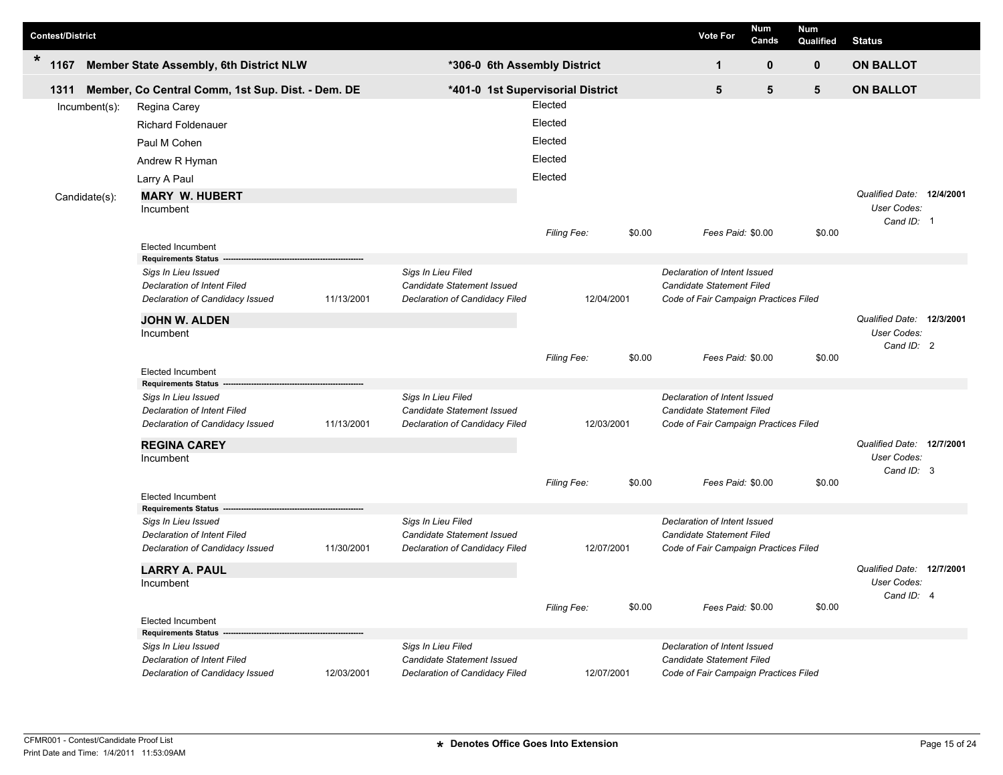| <b>Contest/District</b> |      |               |                                                                                                                            |            |                                                                                           |                                          |        | <b>Vote For</b>                                                                                           | Num<br>Cands | Num<br>Qualified | <b>Status</b>                                          |  |
|-------------------------|------|---------------|----------------------------------------------------------------------------------------------------------------------------|------------|-------------------------------------------------------------------------------------------|------------------------------------------|--------|-----------------------------------------------------------------------------------------------------------|--------------|------------------|--------------------------------------------------------|--|
| $\ast$                  | 1167 |               | Member State Assembly, 6th District NLW                                                                                    |            | *306-0 6th Assembly District                                                              |                                          |        | 1                                                                                                         | 0            | $\mathbf 0$      | <b>ON BALLOT</b>                                       |  |
|                         | 1311 |               | Member, Co Central Comm, 1st Sup. Dist. - Dem. DE                                                                          |            |                                                                                           | *401-0 1st Supervisorial District        |        | 5                                                                                                         | 5            | 5                | <b>ON BALLOT</b>                                       |  |
|                         |      | Incumbent(s): | Regina Carey<br><b>Richard Foldenauer</b><br>Paul M Cohen<br>Andrew R Hyman                                                |            |                                                                                           | Elected<br>Elected<br>Elected<br>Elected |        |                                                                                                           |              |                  |                                                        |  |
|                         |      | Candidate(s): | Larry A Paul<br><b>MARY W. HUBERT</b><br>Incumbent                                                                         |            |                                                                                           | Elected<br>Filing Fee:                   | \$0.00 | Fees Paid: \$0.00                                                                                         |              | \$0.00           | Qualified Date: 12/4/2001<br>User Codes:<br>Cand ID: 1 |  |
|                         |      |               | <b>Elected Incumbent</b><br><b>Requirements Status</b><br>Sigs In Lieu Issued<br>Declaration of Intent Filed               |            | Sigs In Lieu Filed<br>Candidate Statement Issued                                          |                                          |        | Declaration of Intent Issued<br><b>Candidate Statement Filed</b>                                          |              |                  |                                                        |  |
|                         |      |               | Declaration of Candidacy Issued<br><b>JOHN W. ALDEN</b><br>Incumbent                                                       | 11/13/2001 | Declaration of Candidacy Filed                                                            | 12/04/2001<br>Filing Fee:                | \$0.00 | Code of Fair Campaign Practices Filed<br>Fees Paid: \$0.00                                                |              | \$0.00           | Qualified Date: 12/3/2001<br>User Codes:<br>Cand ID: 2 |  |
|                         |      |               | <b>Elected Incumbent</b><br><b>Requirements Status</b>                                                                     |            |                                                                                           |                                          |        |                                                                                                           |              |                  |                                                        |  |
|                         |      |               | Sigs In Lieu Issued<br><b>Declaration of Intent Filed</b><br>Declaration of Candidacy Issued                               | 11/13/2001 | Sigs In Lieu Filed<br><b>Candidate Statement Issued</b><br>Declaration of Candidacy Filed | 12/03/2001                               |        | Declaration of Intent Issued<br><b>Candidate Statement Filed</b><br>Code of Fair Campaign Practices Filed |              |                  |                                                        |  |
|                         |      |               | <b>REGINA CAREY</b><br>Incumbent                                                                                           |            |                                                                                           | Filing Fee:                              | \$0.00 | Fees Paid: \$0.00                                                                                         |              | \$0.00           | Qualified Date: 12/7/2001<br>User Codes:<br>Cand ID: 3 |  |
|                         |      |               | Elected Incumbent                                                                                                          |            |                                                                                           |                                          |        |                                                                                                           |              |                  |                                                        |  |
|                         |      |               | <b>Requirements Status</b><br>Sigs In Lieu Issued<br><b>Declaration of Intent Filed</b><br>Declaration of Candidacy Issued | 11/30/2001 | Sigs In Lieu Filed<br>Candidate Statement Issued<br>Declaration of Candidacy Filed        | 12/07/2001                               |        | Declaration of Intent Issued<br><b>Candidate Statement Filed</b><br>Code of Fair Campaign Practices Filed |              |                  |                                                        |  |
|                         |      |               | <b>LARRY A. PAUL</b><br>Incumbent                                                                                          |            |                                                                                           | Filing Fee:                              | \$0.00 | Fees Paid: \$0.00                                                                                         |              | \$0.00           | Qualified Date: 12/7/2001<br>User Codes:<br>Cand ID: 4 |  |
|                         |      |               | <b>Elected Incumbent</b><br>Requirements Status -                                                                          |            |                                                                                           |                                          |        |                                                                                                           |              |                  |                                                        |  |
|                         |      |               | Sigs In Lieu Issued<br>Declaration of Intent Filed<br>Declaration of Candidacy Issued                                      | 12/03/2001 | Sigs In Lieu Filed<br>Candidate Statement Issued<br>Declaration of Candidacy Filed        | 12/07/2001                               |        | Declaration of Intent Issued<br>Candidate Statement Filed<br>Code of Fair Campaign Practices Filed        |              |                  |                                                        |  |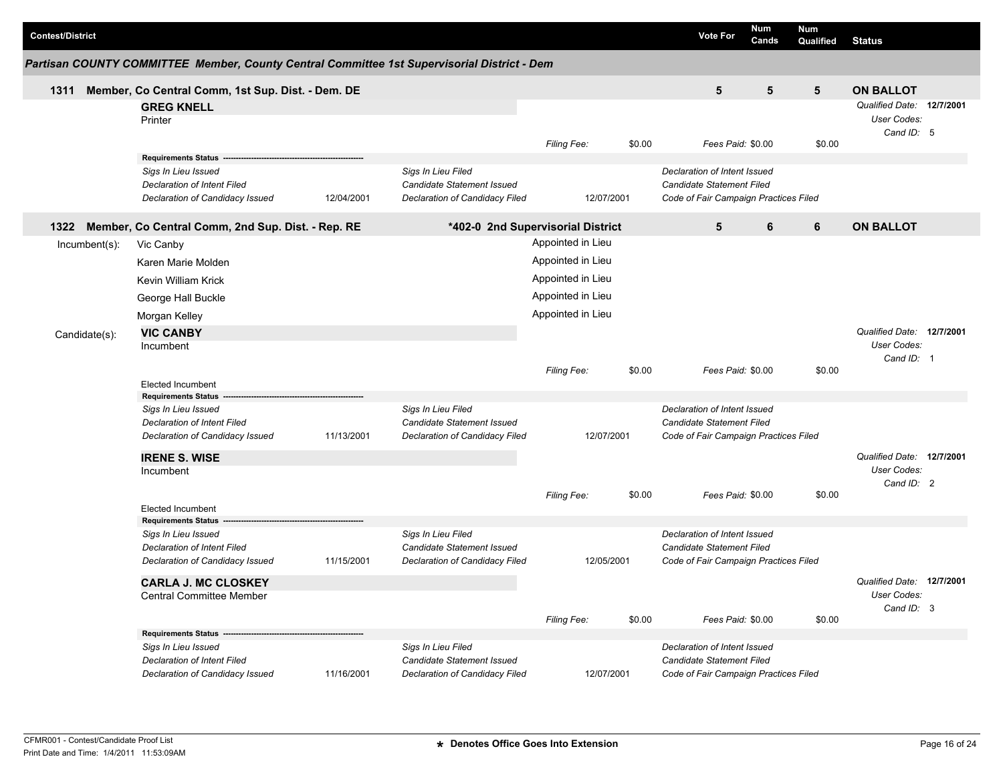| <b>Contest/District</b> |               |                                                                                                                            |            |                                                                                           |                    |            |        | <b>Vote For</b>                                                                                    | <b>Num</b><br>Cands | <b>Num</b><br>Qualified | <b>Status</b>                                          |  |
|-------------------------|---------------|----------------------------------------------------------------------------------------------------------------------------|------------|-------------------------------------------------------------------------------------------|--------------------|------------|--------|----------------------------------------------------------------------------------------------------|---------------------|-------------------------|--------------------------------------------------------|--|
|                         |               | Partisan COUNTY COMMITTEE Member, County Central Committee 1st Supervisorial District - Dem                                |            |                                                                                           |                    |            |        |                                                                                                    |                     |                         |                                                        |  |
| 1311                    |               | Member, Co Central Comm, 1st Sup. Dist. - Dem. DE                                                                          |            |                                                                                           |                    |            |        | 5                                                                                                  | 5                   | 5                       | <b>ON BALLOT</b>                                       |  |
|                         |               | <b>GREG KNELL</b><br>Printer                                                                                               |            |                                                                                           | Filing Fee:        |            | \$0.00 | Fees Paid: \$0.00                                                                                  |                     | \$0.00                  | Qualified Date: 12/7/2001<br>User Codes:<br>Cand ID: 5 |  |
|                         |               | <b>Requirements Status</b>                                                                                                 |            |                                                                                           |                    |            |        |                                                                                                    |                     |                         |                                                        |  |
|                         |               | Sigs In Lieu Issued<br><b>Declaration of Intent Filed</b><br>Declaration of Candidacy Issued                               | 12/04/2001 | Sigs In Lieu Filed<br><b>Candidate Statement Issued</b><br>Declaration of Candidacy Filed |                    | 12/07/2001 |        | Declaration of Intent Issued<br>Candidate Statement Filed<br>Code of Fair Campaign Practices Filed |                     |                         |                                                        |  |
| 1322                    |               | Member, Co Central Comm, 2nd Sup. Dist. - Rep. RE                                                                          |            | *402-0 2nd Supervisorial District                                                         |                    |            |        | 5                                                                                                  | 6                   | 6                       | <b>ON BALLOT</b>                                       |  |
|                         | Incumbent(s): | Vic Canby                                                                                                                  |            |                                                                                           | Appointed in Lieu  |            |        |                                                                                                    |                     |                         |                                                        |  |
|                         |               | Karen Marie Molden                                                                                                         |            |                                                                                           | Appointed in Lieu  |            |        |                                                                                                    |                     |                         |                                                        |  |
|                         |               | Kevin William Krick                                                                                                        |            |                                                                                           | Appointed in Lieu  |            |        |                                                                                                    |                     |                         |                                                        |  |
|                         |               | George Hall Buckle                                                                                                         |            |                                                                                           | Appointed in Lieu  |            |        |                                                                                                    |                     |                         |                                                        |  |
|                         |               | Morgan Kelley                                                                                                              |            |                                                                                           | Appointed in Lieu  |            |        |                                                                                                    |                     |                         |                                                        |  |
|                         | Candidate(s): | <b>VIC CANBY</b><br>Incumbent                                                                                              |            |                                                                                           |                    |            |        |                                                                                                    |                     |                         | Qualified Date: 12/7/2001<br>User Codes:<br>Cand ID: 1 |  |
|                         |               | <b>Elected Incumbent</b>                                                                                                   |            |                                                                                           | <b>Filing Fee:</b> |            | \$0.00 | Fees Paid: \$0.00                                                                                  |                     | \$0.00                  |                                                        |  |
|                         |               | <b>Requirements Status</b><br>Sigs In Lieu Issued<br><b>Declaration of Intent Filed</b><br>Declaration of Candidacy Issued | 11/13/2001 | Sigs In Lieu Filed<br>Candidate Statement Issued<br>Declaration of Candidacy Filed        |                    | 12/07/2001 |        | Declaration of Intent Issued<br>Candidate Statement Filed<br>Code of Fair Campaign Practices Filed |                     |                         |                                                        |  |
|                         |               | <b>IRENE S. WISE</b>                                                                                                       |            |                                                                                           |                    |            |        |                                                                                                    |                     |                         | Qualified Date: 12/7/2001                              |  |
|                         |               | Incumbent                                                                                                                  |            |                                                                                           | <b>Filing Fee:</b> |            | \$0.00 | Fees Paid: \$0.00                                                                                  |                     | \$0.00                  | User Codes:<br>Cand ID: 2                              |  |
|                         |               | <b>Elected Incumbent</b><br><b>Requirements Status</b>                                                                     |            |                                                                                           |                    |            |        |                                                                                                    |                     |                         |                                                        |  |
|                         |               | Sigs In Lieu Issued<br>Declaration of Intent Filed<br>Declaration of Candidacy Issued                                      | 11/15/2001 | Sigs In Lieu Filed<br>Candidate Statement Issued<br>Declaration of Candidacy Filed        |                    | 12/05/2001 |        | Declaration of Intent Issued<br>Candidate Statement Filed<br>Code of Fair Campaign Practices Filed |                     |                         |                                                        |  |
|                         |               | <b>CARLA J. MC CLOSKEY</b><br><b>Central Committee Member</b>                                                              |            |                                                                                           |                    |            |        |                                                                                                    |                     |                         | Qualified Date: 12/7/2001<br>User Codes:<br>Cand ID: 3 |  |
|                         |               | Requirements Status --                                                                                                     |            |                                                                                           | Filing Fee:        |            | \$0.00 | Fees Paid: \$0.00                                                                                  |                     | \$0.00                  |                                                        |  |
|                         |               | Sigs In Lieu Issued<br>Declaration of Intent Filed<br>Declaration of Candidacy Issued                                      | 11/16/2001 | Sigs In Lieu Filed<br><b>Candidate Statement Issued</b><br>Declaration of Candidacy Filed |                    | 12/07/2001 |        | Declaration of Intent Issued<br>Candidate Statement Filed<br>Code of Fair Campaign Practices Filed |                     |                         |                                                        |  |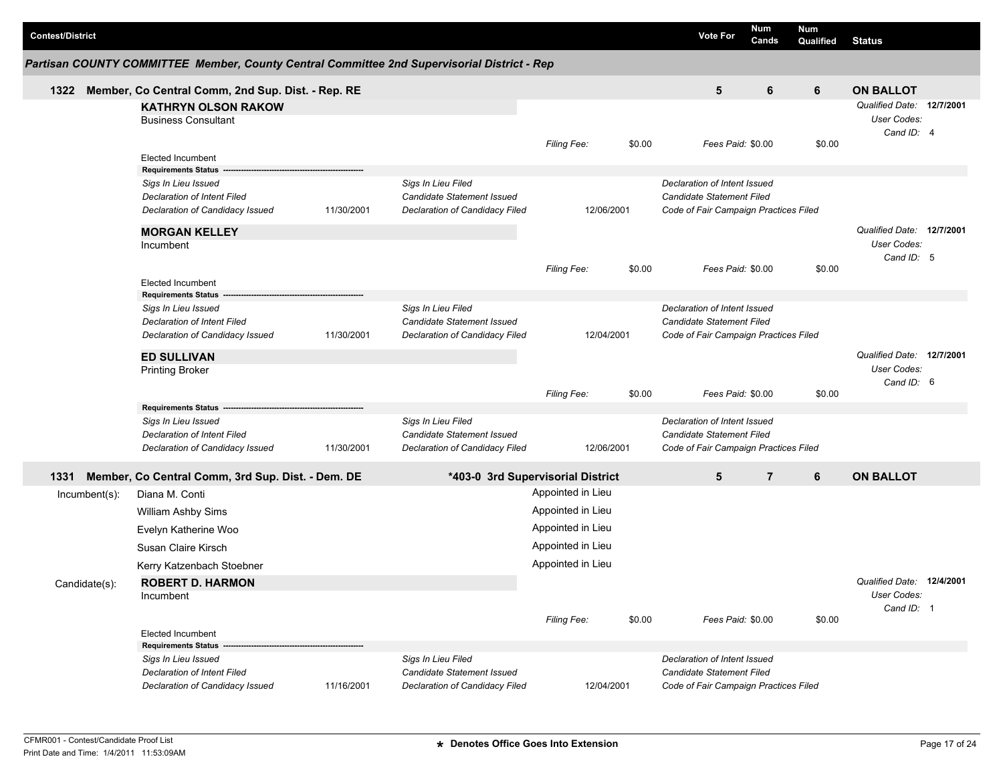| <b>Contest/District</b> |                                                           |            |                                                                                             |                    |            |        | <b>Vote For</b>                                                  | Num<br>Cands   | <b>Num</b><br>Qualified | <b>Status</b>             |  |
|-------------------------|-----------------------------------------------------------|------------|---------------------------------------------------------------------------------------------|--------------------|------------|--------|------------------------------------------------------------------|----------------|-------------------------|---------------------------|--|
|                         |                                                           |            | Partisan COUNTY COMMITTEE Member, County Central Committee 2nd Supervisorial District - Rep |                    |            |        |                                                                  |                |                         |                           |  |
| 1322                    | Member, Co Central Comm, 2nd Sup. Dist. - Rep. RE         |            |                                                                                             |                    |            |        | 5                                                                | 6              | 6                       | <b>ON BALLOT</b>          |  |
|                         | <b>KATHRYN OLSON RAKOW</b>                                |            |                                                                                             |                    |            |        |                                                                  |                |                         | Qualified Date: 12/7/2001 |  |
|                         | <b>Business Consultant</b>                                |            |                                                                                             |                    |            |        |                                                                  |                |                         | User Codes:               |  |
|                         |                                                           |            |                                                                                             | Filing Fee:        |            | \$0.00 | Fees Paid: \$0.00                                                |                | \$0.00                  | Cand ID: 4                |  |
|                         | <b>Elected Incumbent</b>                                  |            |                                                                                             |                    |            |        |                                                                  |                |                         |                           |  |
|                         | <b>Requirements Status</b>                                |            |                                                                                             |                    |            |        |                                                                  |                |                         |                           |  |
|                         | Sigs In Lieu Issued<br><b>Declaration of Intent Filed</b> |            | Sigs In Lieu Filed<br>Candidate Statement Issued                                            |                    |            |        | Declaration of Intent Issued<br><b>Candidate Statement Filed</b> |                |                         |                           |  |
|                         | Declaration of Candidacy Issued                           | 11/30/2001 | Declaration of Candidacy Filed                                                              |                    | 12/06/2001 |        | Code of Fair Campaign Practices Filed                            |                |                         |                           |  |
|                         |                                                           |            |                                                                                             |                    |            |        |                                                                  |                |                         | Qualified Date: 12/7/2001 |  |
|                         | <b>MORGAN KELLEY</b><br>Incumbent                         |            |                                                                                             |                    |            |        |                                                                  |                |                         | User Codes:               |  |
|                         |                                                           |            |                                                                                             |                    |            |        |                                                                  |                |                         | Cand ID: 5                |  |
|                         |                                                           |            |                                                                                             | <b>Filing Fee:</b> |            | \$0.00 | Fees Paid: \$0.00                                                |                | \$0.00                  |                           |  |
|                         | <b>Elected Incumbent</b><br><b>Requirements Status</b>    |            |                                                                                             |                    |            |        |                                                                  |                |                         |                           |  |
|                         | Sigs In Lieu Issued                                       |            | Sigs In Lieu Filed                                                                          |                    |            |        | Declaration of Intent Issued                                     |                |                         |                           |  |
|                         | <b>Declaration of Intent Filed</b>                        |            | Candidate Statement Issued                                                                  |                    |            |        | <b>Candidate Statement Filed</b>                                 |                |                         |                           |  |
|                         | Declaration of Candidacy Issued                           | 11/30/2001 | Declaration of Candidacy Filed                                                              |                    | 12/04/2001 |        | Code of Fair Campaign Practices Filed                            |                |                         |                           |  |
|                         | <b>ED SULLIVAN</b>                                        |            |                                                                                             |                    |            |        |                                                                  |                |                         | Qualified Date: 12/7/2001 |  |
|                         | <b>Printing Broker</b>                                    |            |                                                                                             |                    |            |        |                                                                  |                |                         | User Codes:               |  |
|                         |                                                           |            |                                                                                             | <b>Filing Fee:</b> |            | \$0.00 | Fees Paid: \$0.00                                                |                | \$0.00                  | Cand ID: 6                |  |
|                         | <b>Requirements Status</b>                                |            |                                                                                             |                    |            |        |                                                                  |                |                         |                           |  |
|                         | Sigs In Lieu Issued                                       |            | Sigs In Lieu Filed                                                                          |                    |            |        | Declaration of Intent Issued                                     |                |                         |                           |  |
|                         | Declaration of Intent Filed                               |            | Candidate Statement Issued                                                                  |                    |            |        | Candidate Statement Filed                                        |                |                         |                           |  |
|                         | Declaration of Candidacy Issued                           | 11/30/2001 | Declaration of Candidacy Filed                                                              |                    | 12/06/2001 |        | Code of Fair Campaign Practices Filed                            |                |                         |                           |  |
| 1331                    | Member, Co Central Comm, 3rd Sup. Dist. - Dem. DE         |            | *403-0 3rd Supervisorial District                                                           |                    |            |        | 5                                                                | $\overline{7}$ | 6                       | <b>ON BALLOT</b>          |  |
| $lncumbent(s)$ :        | Diana M. Conti                                            |            |                                                                                             | Appointed in Lieu  |            |        |                                                                  |                |                         |                           |  |
|                         | William Ashby Sims                                        |            |                                                                                             | Appointed in Lieu  |            |        |                                                                  |                |                         |                           |  |
|                         | Evelyn Katherine Woo                                      |            |                                                                                             | Appointed in Lieu  |            |        |                                                                  |                |                         |                           |  |
|                         | Susan Claire Kirsch                                       |            |                                                                                             | Appointed in Lieu  |            |        |                                                                  |                |                         |                           |  |
|                         | Kerry Katzenbach Stoebner                                 |            |                                                                                             | Appointed in Lieu  |            |        |                                                                  |                |                         |                           |  |
| Candidate(s):           | <b>ROBERT D. HARMON</b>                                   |            |                                                                                             |                    |            |        |                                                                  |                |                         | Qualified Date: 12/4/2001 |  |
|                         | Incumbent                                                 |            |                                                                                             |                    |            |        |                                                                  |                |                         | User Codes:               |  |
|                         |                                                           |            |                                                                                             |                    |            | \$0.00 | Fees Paid: \$0.00                                                |                | \$0.00                  | Cand ID: 1                |  |
|                         | <b>Elected Incumbent</b>                                  |            |                                                                                             | Filing Fee:        |            |        |                                                                  |                |                         |                           |  |
|                         | <b>Requirements Status</b>                                |            |                                                                                             |                    |            |        |                                                                  |                |                         |                           |  |
|                         | Sigs In Lieu Issued                                       |            | Sigs In Lieu Filed                                                                          |                    |            |        | Declaration of Intent Issued                                     |                |                         |                           |  |
|                         | <b>Declaration of Intent Filed</b>                        |            | Candidate Statement Issued                                                                  |                    |            |        | Candidate Statement Filed                                        |                |                         |                           |  |
|                         | Declaration of Candidacy Issued                           | 11/16/2001 | Declaration of Candidacy Filed                                                              |                    | 12/04/2001 |        | Code of Fair Campaign Practices Filed                            |                |                         |                           |  |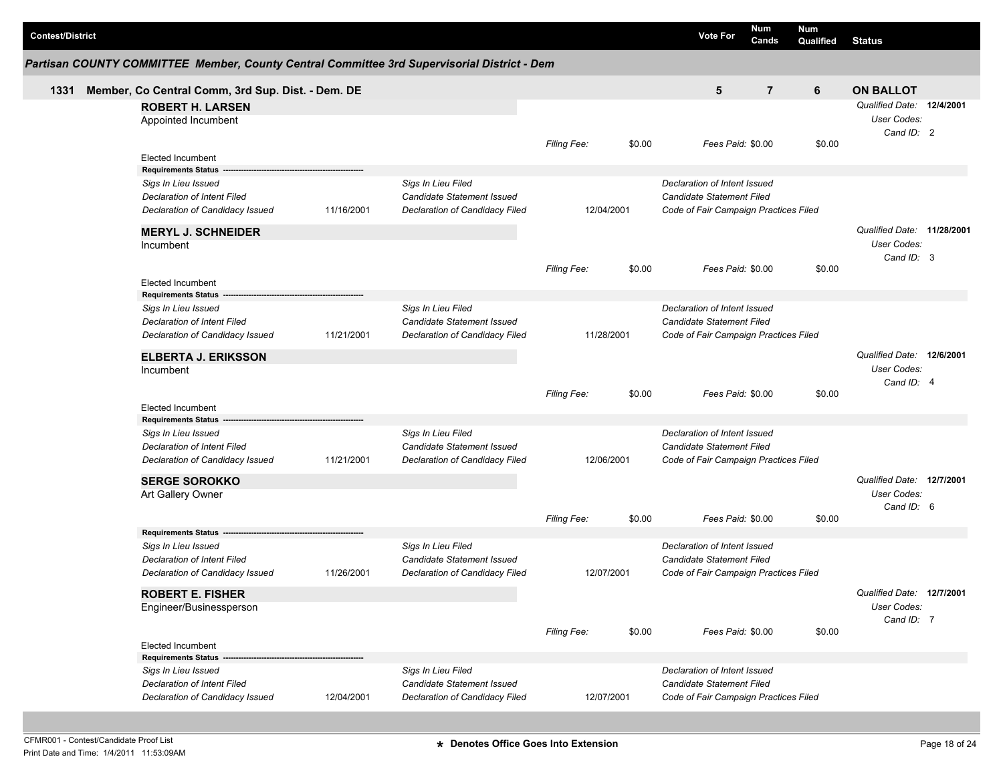| <b>Contest/District</b>                                                                                             |            |                                                                                           |                    |        | <b>Vote For</b>                                                                                           | <b>Num</b><br>Cands | <b>Num</b><br>Qualified | <b>Status</b>                                           |  |
|---------------------------------------------------------------------------------------------------------------------|------------|-------------------------------------------------------------------------------------------|--------------------|--------|-----------------------------------------------------------------------------------------------------------|---------------------|-------------------------|---------------------------------------------------------|--|
| Partisan COUNTY COMMITTEE Member, County Central Committee 3rd Supervisorial District - Dem                         |            |                                                                                           |                    |        |                                                                                                           |                     |                         |                                                         |  |
| Member, Co Central Comm, 3rd Sup. Dist. - Dem. DE<br>1331                                                           |            |                                                                                           |                    |        | 5                                                                                                         | $\overline{7}$      | 6                       | <b>ON BALLOT</b>                                        |  |
| <b>ROBERT H. LARSEN</b><br>Appointed Incumbent                                                                      |            |                                                                                           | Filing Fee:        | \$0.00 | Fees Paid: \$0.00                                                                                         |                     | \$0.00                  | Qualified Date: 12/4/2001<br>User Codes:<br>Cand ID: 2  |  |
| <b>Elected Incumbent</b>                                                                                            |            |                                                                                           |                    |        |                                                                                                           |                     |                         |                                                         |  |
| <b>Requirements Status</b><br>Sigs In Lieu Issued<br>Declaration of Intent Filed<br>Declaration of Candidacy Issued | 11/16/2001 | Sigs In Lieu Filed<br><b>Candidate Statement Issued</b><br>Declaration of Candidacy Filed | 12/04/2001         |        | Declaration of Intent Issued<br><b>Candidate Statement Filed</b><br>Code of Fair Campaign Practices Filed |                     |                         |                                                         |  |
| <b>MERYL J. SCHNEIDER</b><br>Incumbent                                                                              |            |                                                                                           |                    |        |                                                                                                           |                     |                         | Qualified Date: 11/28/2001<br>User Codes:<br>Cand ID: 3 |  |
| <b>Elected Incumbent</b>                                                                                            |            |                                                                                           | <b>Filing Fee:</b> | \$0.00 | Fees Paid: \$0.00                                                                                         |                     | \$0.00                  |                                                         |  |
| <b>Requirements Status</b><br>Sigs In Lieu Issued<br>Declaration of Intent Filed<br>Declaration of Candidacy Issued | 11/21/2001 | Sigs In Lieu Filed<br>Candidate Statement Issued<br>Declaration of Candidacy Filed        | 11/28/2001         |        | Declaration of Intent Issued<br><b>Candidate Statement Filed</b><br>Code of Fair Campaign Practices Filed |                     |                         |                                                         |  |
| <b>ELBERTA J. ERIKSSON</b><br>Incumbent                                                                             |            |                                                                                           | Filing Fee:        | \$0.00 | Fees Paid: \$0.00                                                                                         |                     | \$0.00                  | Qualified Date: 12/6/2001<br>User Codes:<br>Cand ID: 4  |  |
| <b>Elected Incumbent</b><br><b>Requirements Status</b>                                                              |            |                                                                                           |                    |        |                                                                                                           |                     |                         |                                                         |  |
| Sigs In Lieu Issued<br>Declaration of Intent Filed<br>Declaration of Candidacy Issued                               | 11/21/2001 | Sigs In Lieu Filed<br>Candidate Statement Issued<br>Declaration of Candidacy Filed        | 12/06/2001         |        | Declaration of Intent Issued<br>Candidate Statement Filed<br>Code of Fair Campaign Practices Filed        |                     |                         |                                                         |  |
| <b>SERGE SOROKKO</b><br>Art Gallery Owner                                                                           |            |                                                                                           |                    |        |                                                                                                           |                     |                         | Qualified Date: 12/7/2001<br>User Codes:<br>Cand ID: 6  |  |
| <b>Requirements Status</b>                                                                                          |            |                                                                                           | <b>Filing Fee:</b> | \$0.00 | Fees Paid: \$0.00                                                                                         |                     | \$0.00                  |                                                         |  |
| Sigs In Lieu Issued<br>Declaration of Intent Filed<br>Declaration of Candidacy Issued                               | 11/26/2001 | Sigs In Lieu Filed<br>Candidate Statement Issued<br>Declaration of Candidacy Filed        | 12/07/2001         |        | Declaration of Intent Issued<br><b>Candidate Statement Filed</b><br>Code of Fair Campaign Practices Filed |                     |                         |                                                         |  |
| <b>ROBERT E. FISHER</b><br>Engineer/Businessperson                                                                  |            |                                                                                           | Filing Fee:        | \$0.00 | Fees Paid: \$0.00                                                                                         |                     | \$0.00                  | Qualified Date: 12/7/2001<br>User Codes:<br>Cand ID: 7  |  |
| Elected Incumbent<br><b>Requirements Status</b>                                                                     |            |                                                                                           |                    |        |                                                                                                           |                     |                         |                                                         |  |
| Sigs In Lieu Issued<br>Declaration of Intent Filed<br>Declaration of Candidacy Issued                               | 12/04/2001 | Sigs In Lieu Filed<br>Candidate Statement Issued<br>Declaration of Candidacy Filed        | 12/07/2001         |        | Declaration of Intent Issued<br>Candidate Statement Filed<br>Code of Fair Campaign Practices Filed        |                     |                         |                                                         |  |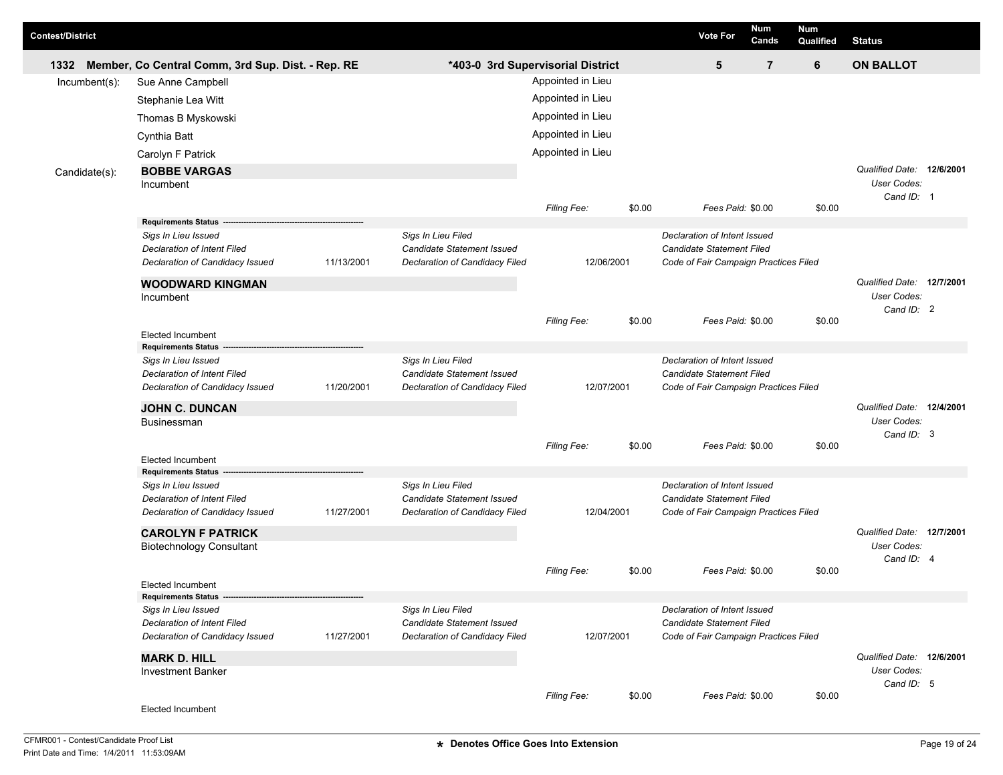| <b>Contest/District</b> |                                                           |            |                                                  |                                   |        | <b>Vote For</b>                                           | Num<br>Cands   | <b>Num</b><br>Qualified | <b>Status</b>                                          |  |
|-------------------------|-----------------------------------------------------------|------------|--------------------------------------------------|-----------------------------------|--------|-----------------------------------------------------------|----------------|-------------------------|--------------------------------------------------------|--|
| 1332                    | Member, Co Central Comm, 3rd Sup. Dist. - Rep. RE         |            |                                                  | *403-0 3rd Supervisorial District |        | 5                                                         | $\overline{7}$ | 6                       | <b>ON BALLOT</b>                                       |  |
| $lncumbent(s)$ :        | Sue Anne Campbell                                         |            |                                                  | Appointed in Lieu                 |        |                                                           |                |                         |                                                        |  |
|                         | Stephanie Lea Witt                                        |            |                                                  | Appointed in Lieu                 |        |                                                           |                |                         |                                                        |  |
|                         | Thomas B Myskowski                                        |            |                                                  | Appointed in Lieu                 |        |                                                           |                |                         |                                                        |  |
|                         | Cynthia Batt                                              |            |                                                  | Appointed in Lieu                 |        |                                                           |                |                         |                                                        |  |
|                         | Carolyn F Patrick                                         |            |                                                  | Appointed in Lieu                 |        |                                                           |                |                         |                                                        |  |
| Candidate(s):           | <b>BOBBE VARGAS</b><br>Incumbent                          |            |                                                  |                                   |        |                                                           |                |                         | Qualified Date: 12/6/2001<br>User Codes:<br>Cand ID: 1 |  |
|                         |                                                           |            |                                                  | Filing Fee:                       | \$0.00 | Fees Paid: \$0.00                                         |                | \$0.00                  |                                                        |  |
|                         | <b>Requirements Status</b>                                |            |                                                  |                                   |        |                                                           |                |                         |                                                        |  |
|                         | Sigs In Lieu Issued<br><b>Declaration of Intent Filed</b> |            | Sigs In Lieu Filed<br>Candidate Statement Issued |                                   |        | Declaration of Intent Issued<br>Candidate Statement Filed |                |                         |                                                        |  |
|                         | Declaration of Candidacy Issued                           | 11/13/2001 | Declaration of Candidacy Filed                   | 12/06/2001                        |        | Code of Fair Campaign Practices Filed                     |                |                         |                                                        |  |
|                         |                                                           |            |                                                  |                                   |        |                                                           |                |                         | Qualified Date: 12/7/2001                              |  |
|                         | <b>WOODWARD KINGMAN</b><br>Incumbent                      |            |                                                  |                                   |        |                                                           |                |                         | User Codes:                                            |  |
|                         |                                                           |            |                                                  |                                   |        |                                                           |                |                         | Cand ID: 2                                             |  |
|                         | <b>Elected Incumbent</b><br><b>Requirements Status</b>    |            |                                                  | Filing Fee:                       | \$0.00 | Fees Paid: \$0.00                                         |                | \$0.00                  |                                                        |  |
|                         | Sigs In Lieu Issued                                       |            | Sigs In Lieu Filed                               |                                   |        | Declaration of Intent Issued                              |                |                         |                                                        |  |
|                         | <b>Declaration of Intent Filed</b>                        |            | Candidate Statement Issued                       |                                   |        | <b>Candidate Statement Filed</b>                          |                |                         |                                                        |  |
|                         | Declaration of Candidacy Issued                           | 11/20/2001 | Declaration of Candidacy Filed                   | 12/07/2001                        |        | Code of Fair Campaign Practices Filed                     |                |                         |                                                        |  |
|                         | <b>JOHN C. DUNCAN</b>                                     |            |                                                  |                                   |        |                                                           |                |                         | Qualified Date: 12/4/2001                              |  |
|                         | <b>Businessman</b>                                        |            |                                                  |                                   |        |                                                           |                |                         | User Codes:                                            |  |
|                         |                                                           |            |                                                  | Filing Fee:                       | \$0.00 | Fees Paid: \$0.00                                         |                | \$0.00                  | Cand ID: 3                                             |  |
|                         | <b>Elected Incumbent</b>                                  |            |                                                  |                                   |        |                                                           |                |                         |                                                        |  |
|                         | <b>Requirements Status</b>                                |            |                                                  |                                   |        |                                                           |                |                         |                                                        |  |
|                         | Sigs In Lieu Issued<br>Declaration of Intent Filed        |            | Sigs In Lieu Filed<br>Candidate Statement Issued |                                   |        | Declaration of Intent Issued<br>Candidate Statement Filed |                |                         |                                                        |  |
|                         | Declaration of Candidacy Issued                           | 11/27/2001 | Declaration of Candidacy Filed                   | 12/04/2001                        |        | Code of Fair Campaign Practices Filed                     |                |                         |                                                        |  |
|                         | <b>CAROLYN F PATRICK</b>                                  |            |                                                  |                                   |        |                                                           |                |                         | Qualified Date: 12/7/2001                              |  |
|                         | <b>Biotechnology Consultant</b>                           |            |                                                  |                                   |        |                                                           |                |                         | User Codes:                                            |  |
|                         |                                                           |            |                                                  |                                   |        |                                                           |                |                         | Cand ID: 4                                             |  |
|                         |                                                           |            |                                                  | Filing Fee:                       | \$0.00 | Fees Paid: \$0.00                                         |                | \$0.00                  |                                                        |  |
|                         | Elected Incumbent<br>Requirements Status ------------     |            |                                                  |                                   |        |                                                           |                |                         |                                                        |  |
|                         | Sigs In Lieu Issued                                       |            | Sigs In Lieu Filed                               |                                   |        | Declaration of Intent Issued                              |                |                         |                                                        |  |
|                         | Declaration of Intent Filed                               |            | Candidate Statement Issued                       |                                   |        | <b>Candidate Statement Filed</b>                          |                |                         |                                                        |  |
|                         | Declaration of Candidacy Issued                           | 11/27/2001 | Declaration of Candidacy Filed                   | 12/07/2001                        |        | Code of Fair Campaign Practices Filed                     |                |                         |                                                        |  |
|                         | <b>MARK D. HILL</b>                                       |            |                                                  |                                   |        |                                                           |                |                         | Qualified Date: 12/6/2001                              |  |
|                         | <b>Investment Banker</b>                                  |            |                                                  |                                   |        |                                                           |                |                         | User Codes:                                            |  |
|                         |                                                           |            |                                                  | Filing Fee:                       | \$0.00 | Fees Paid: \$0.00                                         |                | \$0.00                  | Cand ID: 5                                             |  |
|                         | Elected Incumbent                                         |            |                                                  |                                   |        |                                                           |                |                         |                                                        |  |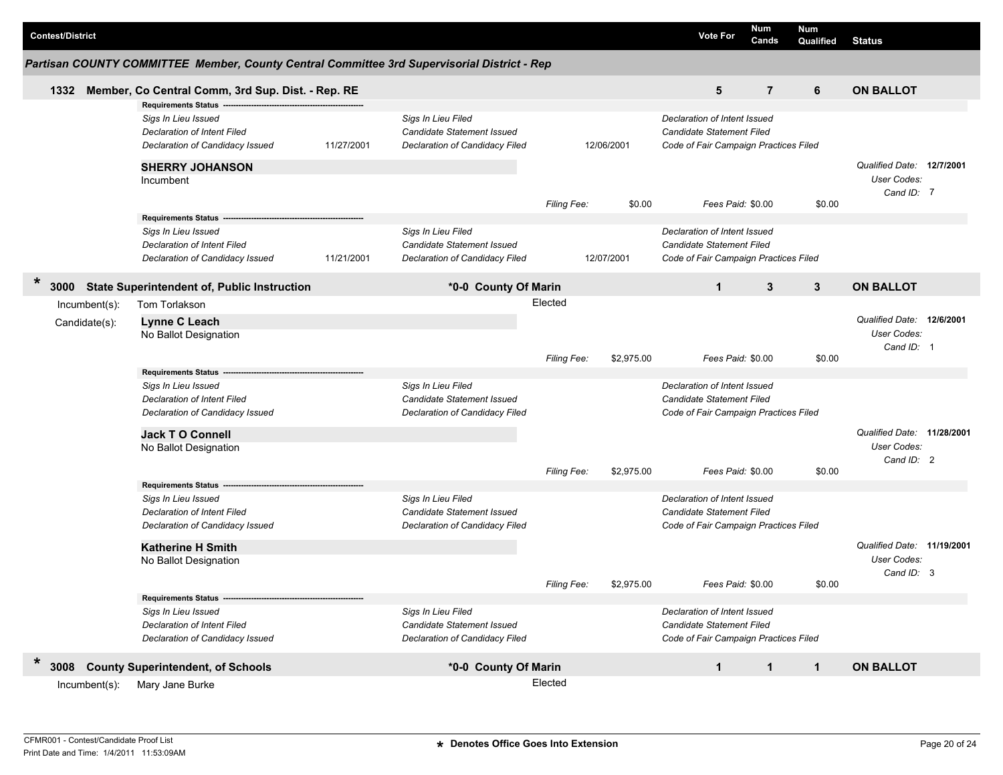| <b>Contest/District</b>        |                                                                                                                                            |            |                                                                                           |                               |            | <b>Vote For</b>                                                                                           | Num<br>Cands   | <b>Num</b><br>Qualified | <b>Status</b>                                                  |  |
|--------------------------------|--------------------------------------------------------------------------------------------------------------------------------------------|------------|-------------------------------------------------------------------------------------------|-------------------------------|------------|-----------------------------------------------------------------------------------------------------------|----------------|-------------------------|----------------------------------------------------------------|--|
|                                | Partisan COUNTY COMMITTEE Member, County Central Committee 3rd Supervisorial District - Rep                                                |            |                                                                                           |                               |            |                                                                                                           |                |                         |                                                                |  |
| 1332                           | Member, Co Central Comm, 3rd Sup. Dist. - Rep. RE                                                                                          |            |                                                                                           |                               |            | 5                                                                                                         | $\overline{7}$ | 6                       | <b>ON BALLOT</b>                                               |  |
|                                | Requirements Status ---<br>Sigs In Lieu Issued<br>Declaration of Intent Filed<br>Declaration of Candidacy Issued<br><b>SHERRY JOHANSON</b> | 11/27/2001 | Sigs In Lieu Filed<br>Candidate Statement Issued<br>Declaration of Candidacy Filed        |                               | 12/06/2001 | Declaration of Intent Issued<br>Candidate Statement Filed<br>Code of Fair Campaign Practices Filed        |                |                         | Qualified Date: 12/7/2001                                      |  |
|                                | Incumbent                                                                                                                                  |            |                                                                                           | <b>Filing Fee:</b>            | \$0.00     | Fees Paid: \$0.00                                                                                         |                | \$0.00                  | User Codes:<br>Cand ID: 7                                      |  |
|                                | <b>Requirements Status</b><br>Sigs In Lieu Issued<br><b>Declaration of Intent Filed</b><br>Declaration of Candidacy Issued                 | 11/21/2001 | Sigs In Lieu Filed<br><b>Candidate Statement Issued</b><br>Declaration of Candidacy Filed |                               | 12/07/2001 | Declaration of Intent Issued<br>Candidate Statement Filed<br>Code of Fair Campaign Practices Filed        |                |                         |                                                                |  |
| *<br>3000                      | <b>State Superintendent of, Public Instruction</b>                                                                                         |            | *0-0 County Of Marin                                                                      |                               |            | $\mathbf{1}$                                                                                              | 3              | 3                       | <b>ON BALLOT</b>                                               |  |
| Incumbent(s):<br>Candidate(s): | Tom Torlakson<br>Lynne C Leach<br>No Ballot Designation                                                                                    |            |                                                                                           | Elected<br><b>Filing Fee:</b> | \$2,975.00 | Fees Paid: \$0.00                                                                                         |                | \$0.00                  | Qualified Date: 12/6/2001<br>User Codes:<br>Cand ID: 1         |  |
|                                | Requirements Status --<br>Sigs In Lieu Issued<br><b>Declaration of Intent Filed</b><br>Declaration of Candidacy Issued                     |            | Sigs In Lieu Filed<br>Candidate Statement Issued<br>Declaration of Candidacy Filed        |                               |            | Declaration of Intent Issued<br>Candidate Statement Filed<br>Code of Fair Campaign Practices Filed        |                |                         |                                                                |  |
|                                | <b>Jack TO Connell</b><br>No Ballot Designation                                                                                            |            |                                                                                           | <b>Filing Fee:</b>            | \$2,975.00 | Fees Paid: \$0.00                                                                                         |                | \$0.00                  | Qualified Date: 11/28/2001<br><b>User Codes:</b><br>Cand ID: 2 |  |
|                                | <b>Requirements Status</b><br>Sigs In Lieu Issued<br><b>Declaration of Intent Filed</b><br>Declaration of Candidacy Issued                 |            | Sigs In Lieu Filed<br>Candidate Statement Issued<br>Declaration of Candidacy Filed        |                               |            | Declaration of Intent Issued<br>Candidate Statement Filed<br>Code of Fair Campaign Practices Filed        |                |                         |                                                                |  |
|                                | <b>Katherine H Smith</b><br>No Ballot Designation                                                                                          |            |                                                                                           | Filing Fee:                   | \$2,975.00 | Fees Paid: \$0.00                                                                                         |                | \$0.00                  | Qualified Date: 11/19/2001<br>User Codes:<br>Cand ID: 3        |  |
|                                | Requirements Status -------<br>Sigs In Lieu Issued<br>Declaration of Intent Filed<br>Declaration of Candidacy Issued                       |            | Sigs In Lieu Filed<br>Candidate Statement Issued<br>Declaration of Candidacy Filed        |                               |            | Declaration of Intent Issued<br><b>Candidate Statement Filed</b><br>Code of Fair Campaign Practices Filed |                |                         |                                                                |  |
| $\ast$<br>3008                 | <b>County Superintendent, of Schools</b>                                                                                                   |            | *0-0 County Of Marin                                                                      |                               |            | $\mathbf{1}$                                                                                              | $\mathbf{1}$   | $\mathbf{1}$            | <b>ON BALLOT</b>                                               |  |
| Incumbent(s):                  | Mary Jane Burke                                                                                                                            |            |                                                                                           | Elected                       |            |                                                                                                           |                |                         |                                                                |  |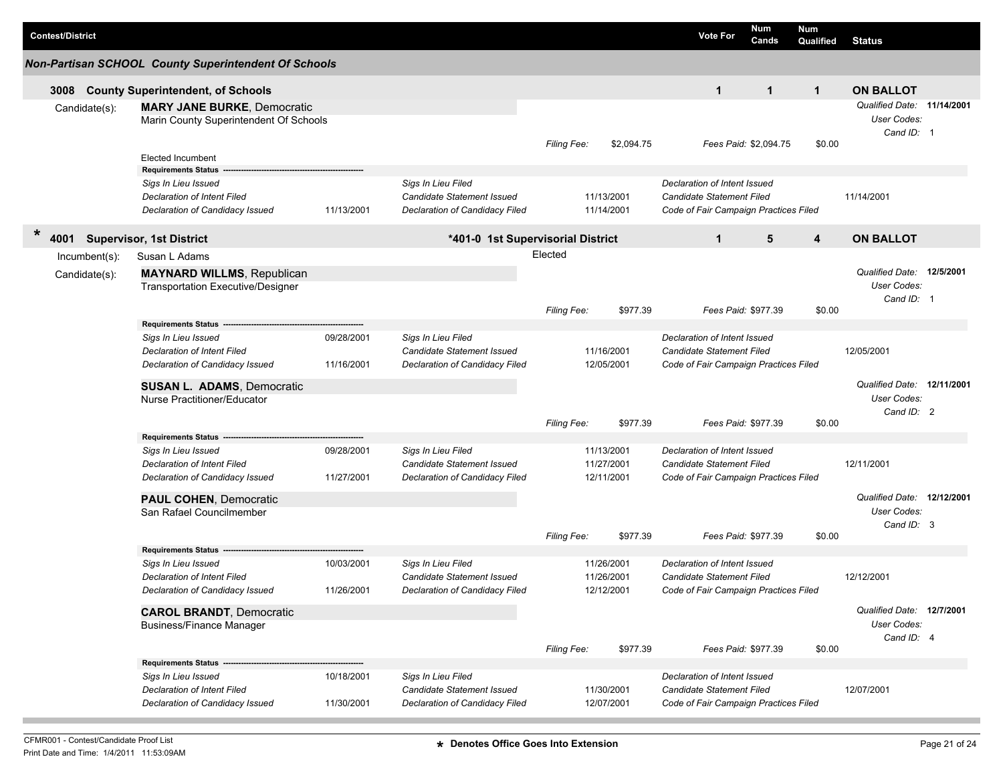| <b>Contest/District</b> |                                                                                                                  |                          |                                                                                    |                    |                                        | <b>Vote For</b>                                                                                           | Num<br>Cands          | <b>Num</b><br>Qualified | <b>Status</b>                                                  |  |
|-------------------------|------------------------------------------------------------------------------------------------------------------|--------------------------|------------------------------------------------------------------------------------|--------------------|----------------------------------------|-----------------------------------------------------------------------------------------------------------|-----------------------|-------------------------|----------------------------------------------------------------|--|
|                         | <b>Non-Partisan SCHOOL County Superintendent Of Schools</b>                                                      |                          |                                                                                    |                    |                                        |                                                                                                           |                       |                         |                                                                |  |
| 3008                    | <b>County Superintendent, of Schools</b>                                                                         |                          |                                                                                    |                    |                                        | $\mathbf{1}$                                                                                              | $\mathbf{1}$          | $\mathbf{1}$            | <b>ON BALLOT</b>                                               |  |
| Candidate(s):           | <b>MARY JANE BURKE, Democratic</b><br>Marin County Superintendent Of Schools                                     |                          |                                                                                    | <b>Filing Fee:</b> | \$2,094.75                             |                                                                                                           | Fees Paid: \$2,094.75 | \$0.00                  | Qualified Date: 11/14/2001<br><b>User Codes:</b><br>Cand ID: 1 |  |
|                         | <b>Elected Incumbent</b><br><b>Requirements Status</b>                                                           |                          |                                                                                    |                    |                                        |                                                                                                           |                       |                         |                                                                |  |
|                         | Sigs In Lieu Issued<br>Declaration of Intent Filed<br>Declaration of Candidacy Issued                            | 11/13/2001               | Sigs In Lieu Filed<br>Candidate Statement Issued<br>Declaration of Candidacy Filed |                    | 11/13/2001<br>11/14/2001               | Declaration of Intent Issued<br><b>Candidate Statement Filed</b><br>Code of Fair Campaign Practices Filed |                       |                         | 11/14/2001                                                     |  |
| *<br>4001               | <b>Supervisor, 1st District</b>                                                                                  |                          | *401-0 1st Supervisorial District                                                  |                    |                                        | $\mathbf{1}$                                                                                              | 5                     | $\overline{\mathbf{4}}$ | <b>ON BALLOT</b>                                               |  |
| Incumbent(s):           | Susan L Adams                                                                                                    |                          |                                                                                    | Elected            |                                        |                                                                                                           |                       |                         |                                                                |  |
| Candidate(s):           | <b>MAYNARD WILLMS, Republican</b><br><b>Transportation Executive/Designer</b>                                    |                          |                                                                                    | <b>Filing Fee:</b> | \$977.39                               |                                                                                                           | Fees Paid: \$977.39   | \$0.00                  | Qualified Date: 12/5/2001<br><b>User Codes:</b><br>Cand ID: 1  |  |
|                         | <b>Requirements Status</b>                                                                                       |                          |                                                                                    |                    |                                        |                                                                                                           |                       |                         |                                                                |  |
|                         | Sigs In Lieu Issued<br>Declaration of Intent Filed<br>Declaration of Candidacy Issued                            | 09/28/2001<br>11/16/2001 | Sigs In Lieu Filed<br>Candidate Statement Issued<br>Declaration of Candidacy Filed |                    | 11/16/2001<br>12/05/2001               | Declaration of Intent Issued<br>Candidate Statement Filed<br>Code of Fair Campaign Practices Filed        |                       |                         | 12/05/2001                                                     |  |
|                         | <b>SUSAN L. ADAMS, Democratic</b><br>Nurse Practitioner/Educator                                                 |                          |                                                                                    |                    |                                        |                                                                                                           |                       |                         | Qualified Date: 12/11/2001<br><b>User Codes:</b><br>Cand ID: 2 |  |
|                         |                                                                                                                  |                          |                                                                                    | Filing Fee:        | \$977.39                               |                                                                                                           | Fees Paid: \$977.39   | \$0.00                  |                                                                |  |
|                         | Requirements Status ---<br>Sigs In Lieu Issued<br>Declaration of Intent Filed<br>Declaration of Candidacy Issued | 09/28/2001<br>11/27/2001 | Sigs In Lieu Filed<br>Candidate Statement Issued<br>Declaration of Candidacy Filed |                    | 11/13/2001<br>11/27/2001<br>12/11/2001 | Declaration of Intent Issued<br>Candidate Statement Filed<br>Code of Fair Campaign Practices Filed        |                       |                         | 12/11/2001                                                     |  |
|                         | <b>PAUL COHEN, Democratic</b><br>San Rafael Councilmember                                                        |                          |                                                                                    | Filing Fee:        | \$977.39                               |                                                                                                           | Fees Paid: \$977.39   | \$0.00                  | Qualified Date: 12/12/2001<br><b>User Codes:</b><br>Cand ID: 3 |  |
|                         | <b>Requirements Status</b>                                                                                       |                          |                                                                                    |                    |                                        |                                                                                                           |                       |                         |                                                                |  |
|                         | Sigs In Lieu Issued<br>Declaration of Intent Filed<br>Declaration of Candidacy Issued                            | 10/03/2001<br>11/26/2001 | Sigs In Lieu Filed<br>Candidate Statement Issued<br>Declaration of Candidacy Filed |                    | 11/26/2001<br>11/26/2001<br>12/12/2001 | Declaration of Intent Issued<br><b>Candidate Statement Filed</b><br>Code of Fair Campaign Practices Filed |                       |                         | 12/12/2001                                                     |  |
|                         | <b>CAROL BRANDT, Democratic</b><br><b>Business/Finance Manager</b>                                               |                          |                                                                                    |                    |                                        |                                                                                                           |                       |                         | Qualified Date: 12/7/2001<br>User Codes:<br>Cand ID: 4         |  |
|                         | <b>Requirements Status -</b>                                                                                     |                          |                                                                                    | Filing Fee:        | \$977.39                               |                                                                                                           | Fees Paid: \$977.39   | \$0.00                  |                                                                |  |
|                         | Sigs In Lieu Issued<br>Declaration of Intent Filed<br>Declaration of Candidacy Issued                            | 10/18/2001<br>11/30/2001 | Sigs In Lieu Filed<br>Candidate Statement Issued<br>Declaration of Candidacy Filed |                    | 11/30/2001<br>12/07/2001               | Declaration of Intent Issued<br>Candidate Statement Filed<br>Code of Fair Campaign Practices Filed        |                       |                         | 12/07/2001                                                     |  |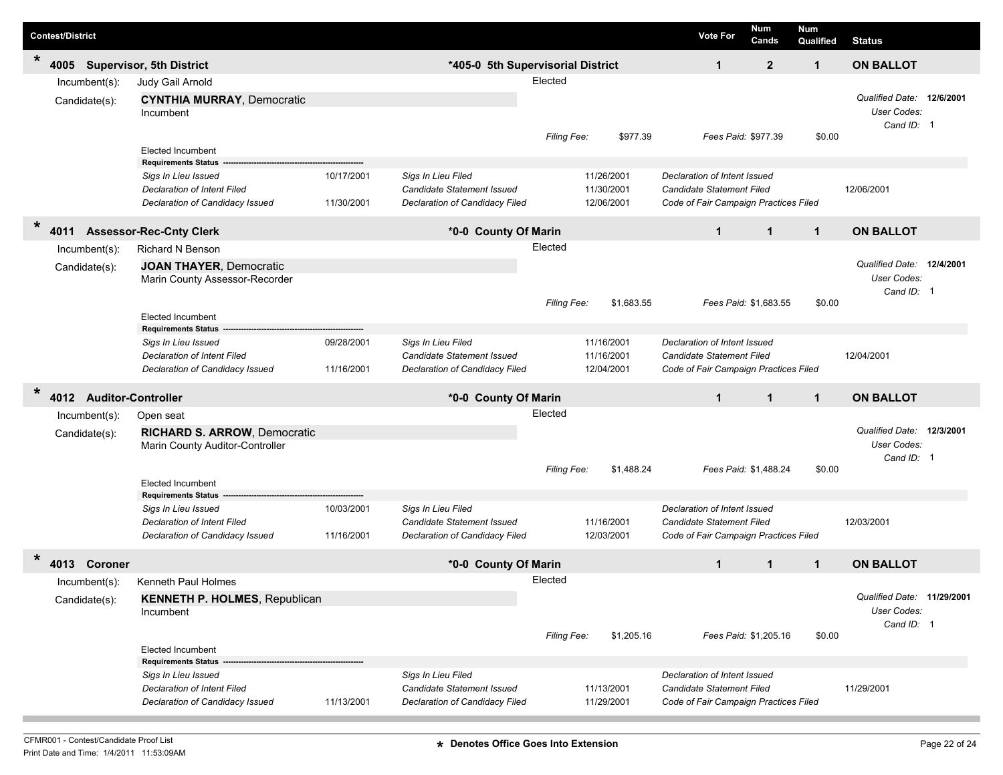| <b>Contest/District</b>                     |                                                                                              |                          |                                                                                    |             |                                        | <b>Vote For</b>                                                                                           | Num<br>Cands          | <b>Num</b><br>Qualified | <b>Status</b>                                           |  |
|---------------------------------------------|----------------------------------------------------------------------------------------------|--------------------------|------------------------------------------------------------------------------------|-------------|----------------------------------------|-----------------------------------------------------------------------------------------------------------|-----------------------|-------------------------|---------------------------------------------------------|--|
| $\star$<br>4005                             | <b>Supervisor, 5th District</b>                                                              |                          | *405-0 5th Supervisorial District                                                  |             |                                        | $\mathbf{1}$                                                                                              | $\mathbf{2}$          | $\mathbf{1}$            | <b>ON BALLOT</b>                                        |  |
| Incumbent(s):                               | Judy Gail Arnold                                                                             |                          |                                                                                    | Elected     |                                        |                                                                                                           |                       |                         |                                                         |  |
| Candidate(s):                               | <b>CYNTHIA MURRAY, Democratic</b><br>Incumbent                                               |                          |                                                                                    |             |                                        |                                                                                                           |                       |                         | Qualified Date: 12/6/2001<br>User Codes:<br>Cand ID: 1  |  |
|                                             | <b>Elected Incumbent</b><br><b>Requirements Status</b>                                       |                          |                                                                                    | Filing Fee: | \$977.39                               |                                                                                                           | Fees Paid: \$977.39   | \$0.00                  |                                                         |  |
|                                             | Sigs In Lieu Issued<br><b>Declaration of Intent Filed</b><br>Declaration of Candidacy Issued | 10/17/2001<br>11/30/2001 | Sigs In Lieu Filed<br>Candidate Statement Issued<br>Declaration of Candidacy Filed |             | 11/26/2001<br>11/30/2001<br>12/06/2001 | Declaration of Intent Issued<br>Candidate Statement Filed<br>Code of Fair Campaign Practices Filed        |                       |                         | 12/06/2001                                              |  |
| $\star$<br>4011                             | <b>Assessor-Rec-Cnty Clerk</b>                                                               |                          | *0-0 County Of Marin                                                               |             |                                        | $\mathbf{1}$                                                                                              | $\mathbf{1}$          | $\mathbf{1}$            | <b>ON BALLOT</b>                                        |  |
| Incumbent(s):                               | <b>Richard N Benson</b>                                                                      |                          |                                                                                    | Elected     |                                        |                                                                                                           |                       |                         |                                                         |  |
| Candidate(s):                               | <b>JOAN THAYER, Democratic</b><br>Marin County Assessor-Recorder                             |                          |                                                                                    |             |                                        |                                                                                                           |                       |                         | Qualified Date: 12/4/2001<br>User Codes:<br>Cand ID: 1  |  |
|                                             |                                                                                              |                          |                                                                                    | Filing Fee: | \$1,683.55                             |                                                                                                           | Fees Paid: \$1,683.55 | \$0.00                  |                                                         |  |
|                                             | <b>Elected Incumbent</b><br><b>Requirements Status</b>                                       |                          |                                                                                    |             |                                        |                                                                                                           |                       |                         |                                                         |  |
|                                             | Sigs In Lieu Issued<br><b>Declaration of Intent Filed</b><br>Declaration of Candidacy Issued | 09/28/2001<br>11/16/2001 | Sigs In Lieu Filed<br>Candidate Statement Issued<br>Declaration of Candidacy Filed |             | 11/16/2001<br>11/16/2001<br>12/04/2001 | Declaration of Intent Issued<br><b>Candidate Statement Filed</b><br>Code of Fair Campaign Practices Filed |                       |                         | 12/04/2001                                              |  |
| $\ast$<br><b>Auditor-Controller</b><br>4012 |                                                                                              |                          | *0-0 County Of Marin                                                               |             |                                        | $\mathbf{1}$                                                                                              | $\mathbf{1}$          | $\mathbf{1}$            | <b>ON BALLOT</b>                                        |  |
| Incumbent(s):                               | Open seat                                                                                    |                          |                                                                                    | Elected     |                                        |                                                                                                           |                       |                         |                                                         |  |
| Candidate(s):                               | <b>RICHARD S. ARROW, Democratic</b><br>Marin County Auditor-Controller                       |                          |                                                                                    |             |                                        |                                                                                                           |                       |                         | Qualified Date: 12/3/2001<br>User Codes:<br>Cand ID: 1  |  |
|                                             | <b>Elected Incumbent</b><br><b>Requirements Status</b>                                       |                          |                                                                                    | Filing Fee: | \$1,488.24                             |                                                                                                           | Fees Paid: \$1,488.24 | \$0.00                  |                                                         |  |
|                                             | Sigs In Lieu Issued<br><b>Declaration of Intent Filed</b><br>Declaration of Candidacy Issued | 10/03/2001<br>11/16/2001 | Sigs In Lieu Filed<br>Candidate Statement Issued<br>Declaration of Candidacy Filed |             | 11/16/2001<br>12/03/2001               | Declaration of Intent Issued<br>Candidate Statement Filed<br>Code of Fair Campaign Practices Filed        |                       |                         | 12/03/2001                                              |  |
| *<br>Coroner<br>4013                        |                                                                                              |                          | *0-0 County Of Marin                                                               |             |                                        | $\mathbf 1$                                                                                               | $\mathbf 1$           | 1                       | <b>ON BALLOT</b>                                        |  |
| Incumbent(s):                               | Kenneth Paul Holmes                                                                          |                          |                                                                                    | Elected     |                                        |                                                                                                           |                       |                         |                                                         |  |
| Candidate(s):                               | <b>KENNETH P. HOLMES, Republican</b><br>Incumbent                                            |                          |                                                                                    |             |                                        |                                                                                                           |                       |                         | Qualified Date: 11/29/2001<br>User Codes:<br>Cand ID: 1 |  |
|                                             | <b>Elected Incumbent</b>                                                                     |                          |                                                                                    | Filing Fee: | \$1,205.16                             |                                                                                                           | Fees Paid: \$1,205.16 | \$0.00                  |                                                         |  |
|                                             | <b>Requirements Status</b>                                                                   |                          | Sigs In Lieu Filed                                                                 |             |                                        | Declaration of Intent Issued                                                                              |                       |                         |                                                         |  |
|                                             | Sigs In Lieu Issued<br>Declaration of Intent Filed<br>Declaration of Candidacy Issued        | 11/13/2001               | Candidate Statement Issued<br>Declaration of Candidacy Filed                       |             | 11/13/2001<br>11/29/2001               | Candidate Statement Filed<br>Code of Fair Campaign Practices Filed                                        |                       |                         | 11/29/2001                                              |  |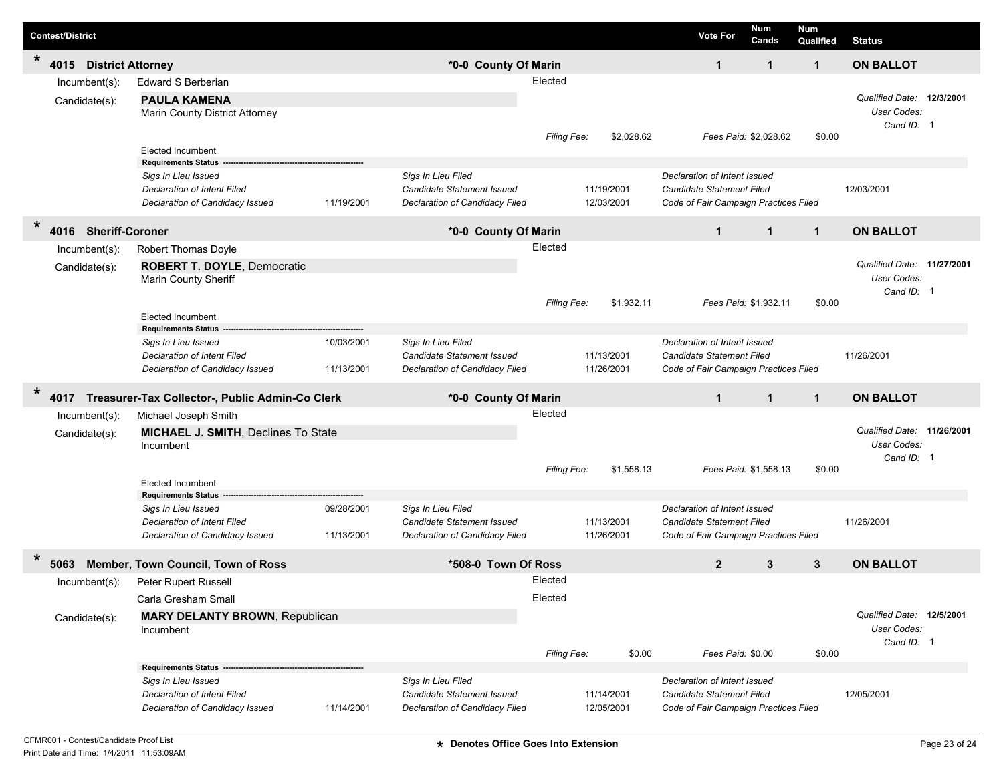| <b>Contest/District</b>                     |                                                                                                                            |                          |                                                                                    |                        |                                    | <b>Vote For</b>                                                                                    |                   | Num<br>Cands          | <b>Num</b><br>Qualified | <b>Status</b>                                           |  |
|---------------------------------------------|----------------------------------------------------------------------------------------------------------------------------|--------------------------|------------------------------------------------------------------------------------|------------------------|------------------------------------|----------------------------------------------------------------------------------------------------|-------------------|-----------------------|-------------------------|---------------------------------------------------------|--|
| $\star$<br>4015<br><b>District Attorney</b> |                                                                                                                            |                          | *0-0 County Of Marin                                                               |                        |                                    |                                                                                                    | $\mathbf{1}$      | 1                     | $\mathbf 1$             | <b>ON BALLOT</b>                                        |  |
| Incumbent(s):<br>Candidate(s):              | Edward S Berberian<br><b>PAULA KAMENA</b><br>Marin County District Attorney                                                |                          |                                                                                    | Elected                |                                    |                                                                                                    |                   |                       |                         | Qualified Date: 12/3/2001<br>User Codes:<br>Cand ID: 1  |  |
|                                             | <b>Elected Incumbent</b><br><b>Requirements Status</b>                                                                     |                          |                                                                                    | <b>Filing Fee:</b>     | \$2,028.62                         |                                                                                                    |                   | Fees Paid: \$2,028.62 | \$0.00                  |                                                         |  |
|                                             | Sigs In Lieu Issued<br><b>Declaration of Intent Filed</b><br>Declaration of Candidacy Issued                               | 11/19/2001               | Sigs In Lieu Filed<br>Candidate Statement Issued<br>Declaration of Candidacy Filed |                        | 11/19/2001<br>12/03/2001           | Declaration of Intent Issued<br>Candidate Statement Filed<br>Code of Fair Campaign Practices Filed |                   |                       |                         | 12/03/2001                                              |  |
| $\ast$<br><b>Sheriff-Coroner</b><br>4016    |                                                                                                                            |                          | *0-0 County Of Marin                                                               |                        |                                    |                                                                                                    | $\mathbf{1}$      | $\mathbf{1}$          | $\mathbf{1}$            | <b>ON BALLOT</b>                                        |  |
| Incumbent(s):<br>Candidate(s):              | Robert Thomas Doyle<br><b>ROBERT T. DOYLE, Democratic</b><br>Marin County Sheriff<br><b>Elected Incumbent</b>              |                          |                                                                                    | Elected<br>Filing Fee: | \$1,932.11                         |                                                                                                    |                   | Fees Paid: \$1,932.11 | \$0.00                  | Qualified Date: 11/27/2001<br>User Codes:<br>Cand ID: 1 |  |
|                                             | <b>Requirements Status</b><br>Sigs In Lieu Issued<br><b>Declaration of Intent Filed</b><br>Declaration of Candidacy Issued | 10/03/2001<br>11/13/2001 | Sigs In Lieu Filed<br>Candidate Statement Issued<br>Declaration of Candidacy Filed |                        | 11/13/2001<br>11/26/2001           | Declaration of Intent Issued<br>Candidate Statement Filed<br>Code of Fair Campaign Practices Filed |                   |                       |                         | 11/26/2001                                              |  |
| $\ast$<br>4017                              | Treasurer-Tax Collector-, Public Admin-Co Clerk                                                                            |                          | *0-0 County Of Marin                                                               |                        |                                    |                                                                                                    | $\mathbf{1}$      | $\mathbf{1}$          | $\mathbf{1}$            | <b>ON BALLOT</b>                                        |  |
| Incumbent(s):<br>Candidate(s):              | Michael Joseph Smith<br>MICHAEL J. SMITH, Declines To State<br>Incumbent                                                   |                          |                                                                                    | Elected                |                                    |                                                                                                    |                   |                       |                         | Qualified Date: 11/26/2001<br>User Codes:<br>Cand ID: 1 |  |
|                                             | <b>Elected Incumbent</b><br><b>Requirements Status</b>                                                                     |                          |                                                                                    | <b>Filing Fee:</b>     | \$1,558.13                         |                                                                                                    |                   | Fees Paid: \$1,558.13 | \$0.00                  |                                                         |  |
|                                             | Sigs In Lieu Issued<br><b>Declaration of Intent Filed</b><br>Declaration of Candidacy Issued                               | 09/28/2001<br>11/13/2001 | Sigs In Lieu Filed<br>Candidate Statement Issued<br>Declaration of Candidacy Filed |                        | 11/13/2001<br>11/26/2001           | Declaration of Intent Issued<br>Candidate Statement Filed<br>Code of Fair Campaign Practices Filed |                   |                       |                         | 11/26/2001                                              |  |
| *<br>5063                                   | Member, Town Council, Town of Ross                                                                                         |                          | *508-0 Town Of Ross                                                                |                        |                                    |                                                                                                    | $\overline{2}$    | 3                     | 3                       | <b>ON BALLOT</b>                                        |  |
| Incumbent(s):<br>Candidate(s):              | Peter Rupert Russell<br>Carla Gresham Small<br><b>MARY DELANTY BROWN, Republican</b><br>Incumbent                          |                          |                                                                                    | Elected<br>Elected     |                                    |                                                                                                    |                   |                       |                         | Qualified Date: 12/5/2001<br>User Codes:<br>Cand ID: 1  |  |
|                                             | Requirements Status -<br>Sigs In Lieu Issued<br><b>Declaration of Intent Filed</b><br>Declaration of Candidacy Issued      | 11/14/2001               | Sigs In Lieu Filed<br>Candidate Statement Issued<br>Declaration of Candidacy Filed | Filing Fee:            | \$0.00<br>11/14/2001<br>12/05/2001 | Declaration of Intent Issued<br>Candidate Statement Filed<br>Code of Fair Campaign Practices Filed | Fees Paid: \$0.00 |                       | \$0.00                  | 12/05/2001                                              |  |